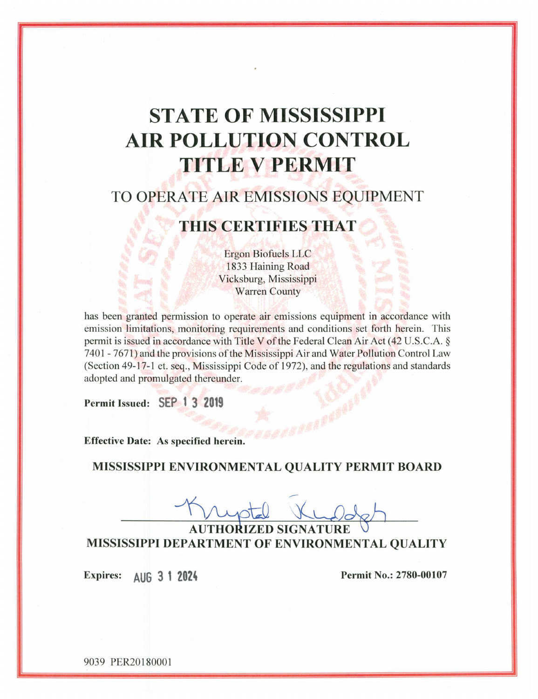# **STATE OF MISSISSIPPI AIR POLLUTION CONTROL TITLE V PERMIT**

## TO OPERATE AIR EMISSIONS EQUIPMENT

## THIS CERTIFIES THAT

**Ergon Biofuels LLC** 1833 Haining Road Vicksburg, Mississippi **Warren County** 

has been granted permission to operate air emissions equipment in accordance with emission limitations, monitoring requirements and conditions set forth herein. This permit is issued in accordance with Title V of the Federal Clean Air Act (42 U.S.C.A. § 7401 - 7671) and the provisions of the Mississippi Air and Water Pollution Control Law (Section 49-17-1 et. seq., Mississippi Code of 1972), and the regulations and standards adopted and promulgated thereunder.

Permit Issued: SEP 1 3 2019

**Effective Date: As specified herein.** 

### MISSISSIPPI ENVIRONMENTAL QUALITY PERMIT BOARD

**AUTHORIZED SIGNATURE** MISSISSIPPI DEPARTMENT OF ENVIRONMENTAL QUALITY

**Expires:** AUG 3 1 2024 Permit No.: 2780-00107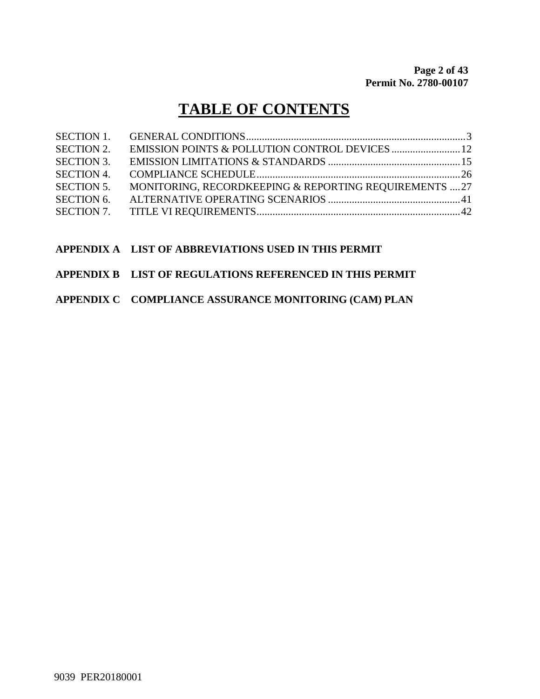## **TABLE OF CONTENTS**

| <b>SECTION 1.</b> |                                                        |  |
|-------------------|--------------------------------------------------------|--|
| <b>SECTION 2.</b> |                                                        |  |
| <b>SECTION 3.</b> |                                                        |  |
| <b>SECTION 4.</b> |                                                        |  |
| <b>SECTION 5.</b> | MONITORING, RECORDKEEPING & REPORTING REQUIREMENTS  27 |  |
| <b>SECTION 6.</b> |                                                        |  |
|                   |                                                        |  |

### **APPENDIX A LIST OF ABBREVIATIONS USED IN THIS PERMIT**

### **APPENDIX B LIST OF REGULATIONS REFERENCED IN THIS PERMIT**

### **APPENDIX C COMPLIANCE ASSURANCE MONITORING (CAM) PLAN**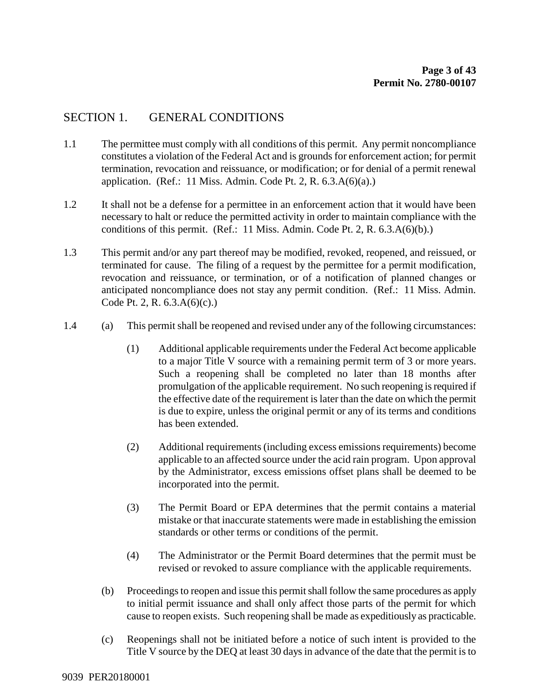## SECTION 1. GENERAL CONDITIONS

- 1.1 The permittee must comply with all conditions of this permit. Any permit noncompliance constitutes a violation of the Federal Act and is grounds for enforcement action; for permit termination, revocation and reissuance, or modification; or for denial of a permit renewal application. (Ref.: 11 Miss. Admin. Code Pt. 2, R.  $6.3.A(6)(a)$ .)
- 1.2 It shall not be a defense for a permittee in an enforcement action that it would have been necessary to halt or reduce the permitted activity in order to maintain compliance with the conditions of this permit. (Ref.: 11 Miss. Admin. Code Pt. 2, R. 6.3.A(6)(b).)
- 1.3 This permit and/or any part thereof may be modified, revoked, reopened, and reissued, or terminated for cause. The filing of a request by the permittee for a permit modification, revocation and reissuance, or termination, or of a notification of planned changes or anticipated noncompliance does not stay any permit condition. (Ref.: 11 Miss. Admin. Code Pt. 2, R. 6.3.A(6)(c).)
- 1.4 (a) This permit shall be reopened and revised under any of the following circumstances:
	- (1) Additional applicable requirements under the Federal Act become applicable to a major Title V source with a remaining permit term of 3 or more years. Such a reopening shall be completed no later than 18 months after promulgation of the applicable requirement. No such reopening is required if the effective date of the requirement is later than the date on which the permit is due to expire, unless the original permit or any of its terms and conditions has been extended.
	- (2) Additional requirements (including excess emissions requirements) become applicable to an affected source under the acid rain program. Upon approval by the Administrator, excess emissions offset plans shall be deemed to be incorporated into the permit.
	- (3) The Permit Board or EPA determines that the permit contains a material mistake or that inaccurate statements were made in establishing the emission standards or other terms or conditions of the permit.
	- (4) The Administrator or the Permit Board determines that the permit must be revised or revoked to assure compliance with the applicable requirements.
	- (b) Proceedings to reopen and issue this permit shall follow the same procedures as apply to initial permit issuance and shall only affect those parts of the permit for which cause to reopen exists. Such reopening shall be made as expeditiously as practicable.
	- (c) Reopenings shall not be initiated before a notice of such intent is provided to the Title V source by the DEQ at least 30 days in advance of the date that the permit is to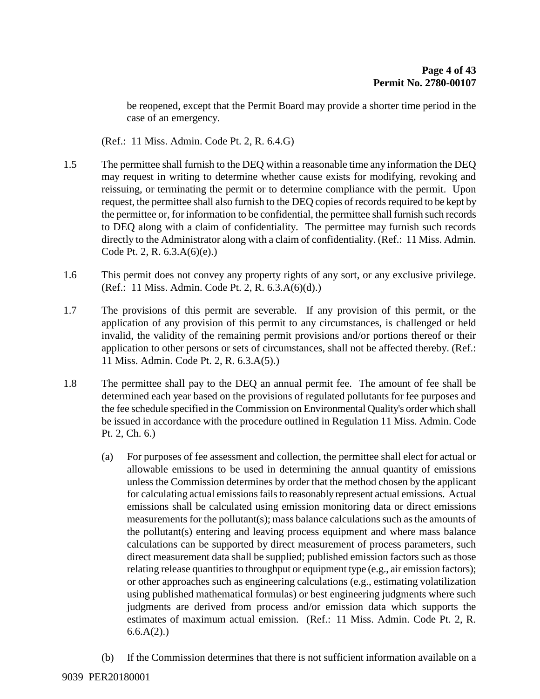be reopened, except that the Permit Board may provide a shorter time period in the case of an emergency.

(Ref.: 11 Miss. Admin. Code Pt. 2, R. 6.4.G)

- 1.5 The permittee shall furnish to the DEQ within a reasonable time any information the DEQ may request in writing to determine whether cause exists for modifying, revoking and reissuing, or terminating the permit or to determine compliance with the permit. Upon request, the permittee shall also furnish to the DEQ copies of records required to be kept by the permittee or, for information to be confidential, the permittee shall furnish such records to DEQ along with a claim of confidentiality. The permittee may furnish such records directly to the Administrator along with a claim of confidentiality. (Ref.: 11 Miss. Admin. Code Pt. 2, R. 6.3.A(6)(e).)
- 1.6 This permit does not convey any property rights of any sort, or any exclusive privilege. (Ref.: 11 Miss. Admin. Code Pt. 2, R. 6.3.A(6)(d).)
- 1.7 The provisions of this permit are severable. If any provision of this permit, or the application of any provision of this permit to any circumstances, is challenged or held invalid, the validity of the remaining permit provisions and/or portions thereof or their application to other persons or sets of circumstances, shall not be affected thereby. (Ref.: 11 Miss. Admin. Code Pt. 2, R. 6.3.A(5).)
- 1.8 The permittee shall pay to the DEQ an annual permit fee. The amount of fee shall be determined each year based on the provisions of regulated pollutants for fee purposes and the fee schedule specified in the Commission on Environmental Quality's order which shall be issued in accordance with the procedure outlined in Regulation 11 Miss. Admin. Code Pt. 2, Ch. 6.)
	- (a) For purposes of fee assessment and collection, the permittee shall elect for actual or allowable emissions to be used in determining the annual quantity of emissions unless the Commission determines by order that the method chosen by the applicant for calculating actual emissions fails to reasonably represent actual emissions. Actual emissions shall be calculated using emission monitoring data or direct emissions measurements for the pollutant(s); mass balance calculations such as the amounts of the pollutant(s) entering and leaving process equipment and where mass balance calculations can be supported by direct measurement of process parameters, such direct measurement data shall be supplied; published emission factors such as those relating release quantities to throughput or equipment type (e.g., air emission factors); or other approaches such as engineering calculations (e.g., estimating volatilization using published mathematical formulas) or best engineering judgments where such judgments are derived from process and/or emission data which supports the estimates of maximum actual emission. (Ref.: 11 Miss. Admin. Code Pt. 2, R.  $6.6.A(2)$ .)
	- (b) If the Commission determines that there is not sufficient information available on a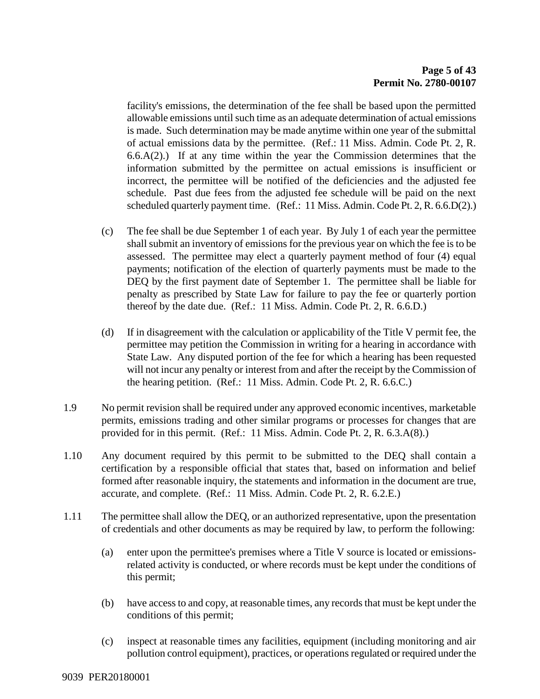facility's emissions, the determination of the fee shall be based upon the permitted allowable emissions until such time as an adequate determination of actual emissions is made. Such determination may be made anytime within one year of the submittal of actual emissions data by the permittee. (Ref.: 11 Miss. Admin. Code Pt. 2, R.  $6.6(A(2))$  If at any time within the year the Commission determines that the information submitted by the permittee on actual emissions is insufficient or incorrect, the permittee will be notified of the deficiencies and the adjusted fee schedule. Past due fees from the adjusted fee schedule will be paid on the next scheduled quarterly payment time. (Ref.: 11 Miss. Admin. Code Pt. 2, R. 6.6.D(2).)

- (c) The fee shall be due September 1 of each year. By July 1 of each year the permittee shall submit an inventory of emissions for the previous year on which the fee is to be assessed. The permittee may elect a quarterly payment method of four (4) equal payments; notification of the election of quarterly payments must be made to the DEQ by the first payment date of September 1. The permittee shall be liable for penalty as prescribed by State Law for failure to pay the fee or quarterly portion thereof by the date due. (Ref.: 11 Miss. Admin. Code Pt. 2, R. 6.6.D.)
- (d) If in disagreement with the calculation or applicability of the Title V permit fee, the permittee may petition the Commission in writing for a hearing in accordance with State Law. Any disputed portion of the fee for which a hearing has been requested will not incur any penalty or interest from and after the receipt by the Commission of the hearing petition. (Ref.: 11 Miss. Admin. Code Pt. 2, R. 6.6.C.)
- 1.9 No permit revision shall be required under any approved economic incentives, marketable permits, emissions trading and other similar programs or processes for changes that are provided for in this permit. (Ref.: 11 Miss. Admin. Code Pt. 2, R. 6.3.A(8).)
- 1.10 Any document required by this permit to be submitted to the DEQ shall contain a certification by a responsible official that states that, based on information and belief formed after reasonable inquiry, the statements and information in the document are true, accurate, and complete. (Ref.: 11 Miss. Admin. Code Pt. 2, R. 6.2.E.)
- 1.11 The permittee shall allow the DEQ, or an authorized representative, upon the presentation of credentials and other documents as may be required by law, to perform the following:
	- (a) enter upon the permittee's premises where a Title V source is located or emissionsrelated activity is conducted, or where records must be kept under the conditions of this permit;
	- (b) have access to and copy, at reasonable times, any records that must be kept under the conditions of this permit;
	- (c) inspect at reasonable times any facilities, equipment (including monitoring and air pollution control equipment), practices, or operations regulated or required under the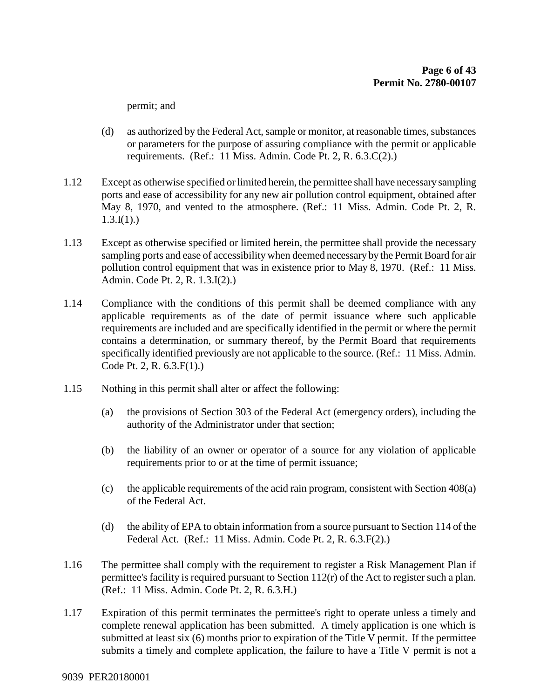permit; and

- (d) as authorized by the Federal Act, sample or monitor, at reasonable times, substances or parameters for the purpose of assuring compliance with the permit or applicable requirements. (Ref.: 11 Miss. Admin. Code Pt. 2, R. 6.3.C(2).)
- 1.12 Except as otherwise specified or limited herein, the permittee shall have necessary sampling ports and ease of accessibility for any new air pollution control equipment, obtained after May 8, 1970, and vented to the atmosphere. (Ref.: 11 Miss. Admin. Code Pt. 2, R.  $1.3.I(1)$ .)
- 1.13 Except as otherwise specified or limited herein, the permittee shall provide the necessary sampling ports and ease of accessibility when deemed necessary by the Permit Board for air pollution control equipment that was in existence prior to May 8, 1970. (Ref.: 11 Miss. Admin. Code Pt. 2, R. 1.3.I(2).)
- 1.14 Compliance with the conditions of this permit shall be deemed compliance with any applicable requirements as of the date of permit issuance where such applicable requirements are included and are specifically identified in the permit or where the permit contains a determination, or summary thereof, by the Permit Board that requirements specifically identified previously are not applicable to the source. (Ref.: 11 Miss. Admin. Code Pt. 2, R. 6.3.F(1).)
- 1.15 Nothing in this permit shall alter or affect the following:
	- (a) the provisions of Section 303 of the Federal Act (emergency orders), including the authority of the Administrator under that section;
	- (b) the liability of an owner or operator of a source for any violation of applicable requirements prior to or at the time of permit issuance;
	- (c) the applicable requirements of the acid rain program, consistent with Section 408(a) of the Federal Act.
	- (d) the ability of EPA to obtain information from a source pursuant to Section 114 of the Federal Act. (Ref.: 11 Miss. Admin. Code Pt. 2, R. 6.3.F(2).)
- 1.16 The permittee shall comply with the requirement to register a Risk Management Plan if permittee's facility is required pursuant to Section 112(r) of the Act to register such a plan. (Ref.: 11 Miss. Admin. Code Pt. 2, R. 6.3.H.)
- 1.17 Expiration of this permit terminates the permittee's right to operate unless a timely and complete renewal application has been submitted. A timely application is one which is submitted at least six (6) months prior to expiration of the Title V permit. If the permittee submits a timely and complete application, the failure to have a Title V permit is not a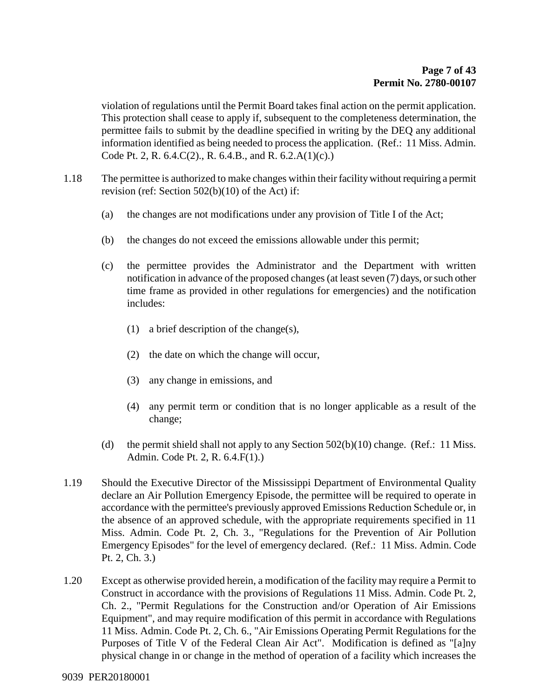violation of regulations until the Permit Board takes final action on the permit application. This protection shall cease to apply if, subsequent to the completeness determination, the permittee fails to submit by the deadline specified in writing by the DEQ any additional information identified as being needed to process the application. (Ref.: 11 Miss. Admin. Code Pt. 2, R. 6.4.C(2)., R. 6.4.B., and R. 6.2.A(1)(c).)

- 1.18 The permittee is authorized to make changes within their facility without requiring a permit revision (ref: Section 502(b)(10) of the Act) if:
	- (a) the changes are not modifications under any provision of Title I of the Act;
	- (b) the changes do not exceed the emissions allowable under this permit;
	- (c) the permittee provides the Administrator and the Department with written notification in advance of the proposed changes (at least seven (7) days, or such other time frame as provided in other regulations for emergencies) and the notification includes:
		- (1) a brief description of the change(s),
		- (2) the date on which the change will occur,
		- (3) any change in emissions, and
		- (4) any permit term or condition that is no longer applicable as a result of the change;
	- (d) the permit shield shall not apply to any Section  $502(b)(10)$  change. (Ref.: 11 Miss. Admin. Code Pt. 2, R. 6.4.F(1).)
- 1.19 Should the Executive Director of the Mississippi Department of Environmental Quality declare an Air Pollution Emergency Episode, the permittee will be required to operate in accordance with the permittee's previously approved Emissions Reduction Schedule or, in the absence of an approved schedule, with the appropriate requirements specified in 11 Miss. Admin. Code Pt. 2, Ch. 3., "Regulations for the Prevention of Air Pollution Emergency Episodes" for the level of emergency declared. (Ref.: 11 Miss. Admin. Code Pt. 2, Ch. 3.)
- 1.20 Except as otherwise provided herein, a modification of the facility may require a Permit to Construct in accordance with the provisions of Regulations 11 Miss. Admin. Code Pt. 2, Ch. 2., "Permit Regulations for the Construction and/or Operation of Air Emissions Equipment", and may require modification of this permit in accordance with Regulations 11 Miss. Admin. Code Pt. 2, Ch. 6., "Air Emissions Operating Permit Regulations for the Purposes of Title V of the Federal Clean Air Act". Modification is defined as "[a]ny physical change in or change in the method of operation of a facility which increases the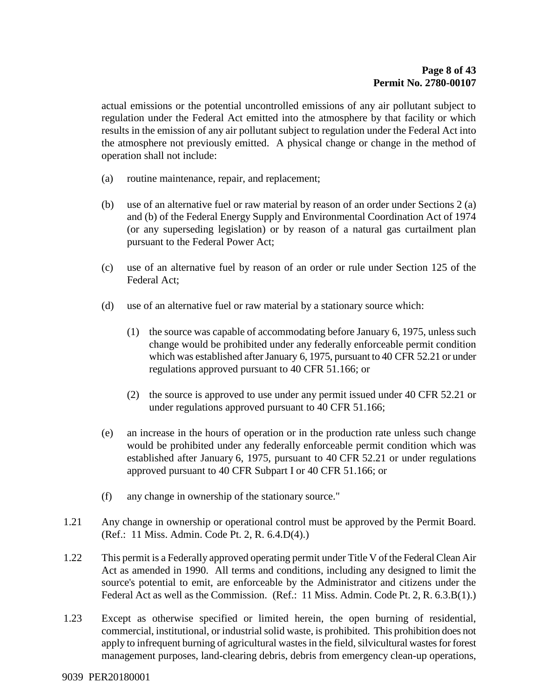actual emissions or the potential uncontrolled emissions of any air pollutant subject to regulation under the Federal Act emitted into the atmosphere by that facility or which results in the emission of any air pollutant subject to regulation under the Federal Act into the atmosphere not previously emitted. A physical change or change in the method of operation shall not include:

- (a) routine maintenance, repair, and replacement;
- (b) use of an alternative fuel or raw material by reason of an order under Sections 2 (a) and (b) of the Federal Energy Supply and Environmental Coordination Act of 1974 (or any superseding legislation) or by reason of a natural gas curtailment plan pursuant to the Federal Power Act;
- (c) use of an alternative fuel by reason of an order or rule under Section 125 of the Federal Act;
- (d) use of an alternative fuel or raw material by a stationary source which:
	- (1) the source was capable of accommodating before January 6, 1975, unless such change would be prohibited under any federally enforceable permit condition which was established after January 6, 1975, pursuant to 40 CFR 52.21 or under regulations approved pursuant to 40 CFR 51.166; or
	- (2) the source is approved to use under any permit issued under 40 CFR 52.21 or under regulations approved pursuant to 40 CFR 51.166;
- (e) an increase in the hours of operation or in the production rate unless such change would be prohibited under any federally enforceable permit condition which was established after January 6, 1975, pursuant to 40 CFR 52.21 or under regulations approved pursuant to 40 CFR Subpart I or 40 CFR 51.166; or
- (f) any change in ownership of the stationary source."
- 1.21 Any change in ownership or operational control must be approved by the Permit Board. (Ref.: 11 Miss. Admin. Code Pt. 2, R. 6.4.D(4).)
- 1.22 This permit is a Federally approved operating permit under Title V of the Federal Clean Air Act as amended in 1990. All terms and conditions, including any designed to limit the source's potential to emit, are enforceable by the Administrator and citizens under the Federal Act as well as the Commission. (Ref.: 11 Miss. Admin. Code Pt. 2, R. 6.3.B(1).)
- 1.23 Except as otherwise specified or limited herein, the open burning of residential, commercial, institutional, or industrial solid waste, is prohibited. This prohibition does not apply to infrequent burning of agricultural wastes in the field, silvicultural wastes for forest management purposes, land-clearing debris, debris from emergency clean-up operations,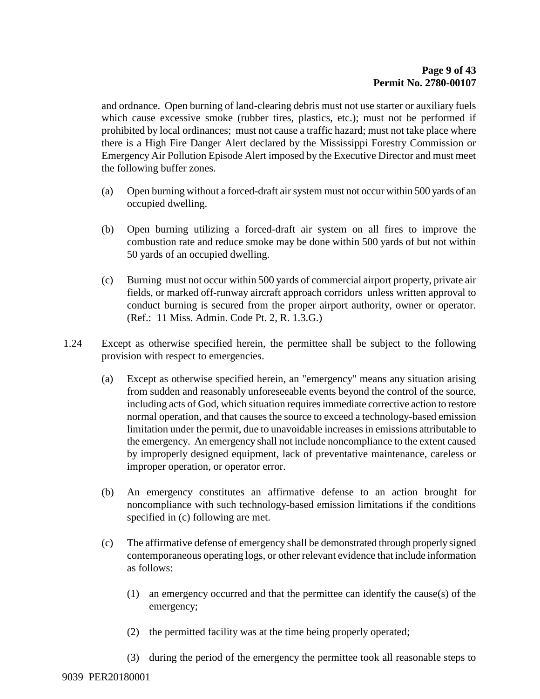and ordnance. Open burning of land-clearing debris must not use starter or auxiliary fuels which cause excessive smoke (rubber tires, plastics, etc.); must not be performed if prohibited by local ordinances; must not cause a traffic hazard; must not take place where there is a High Fire Danger Alert declared by the Mississippi Forestry Commission or Emergency Air Pollution Episode Alert imposed by the Executive Director and must meet the following buffer zones.

- (a) Open burning without a forced-draft air system must not occur within 500 yards of an occupied dwelling.
- (b) Open burning utilizing a forced-draft air system on all fires to improve the combustion rate and reduce smoke may be done within 500 yards of but not within 50 yards of an occupied dwelling.
- (c) Burning must not occur within 500 yards of commercial airport property, private air fields, or marked off-runway aircraft approach corridors unless written approval to conduct burning is secured from the proper airport authority, owner or operator. (Ref.: 11 Miss. Admin. Code Pt. 2, R. 1.3.G.)
- 1.24 Except as otherwise specified herein, the permittee shall be subject to the following provision with respect to emergencies.
	- (a) Except as otherwise specified herein, an "emergency" means any situation arising from sudden and reasonably unforeseeable events beyond the control of the source, including acts of God, which situation requires immediate corrective action to restore normal operation, and that causes the source to exceed a technology-based emission limitation under the permit, due to unavoidable increases in emissions attributable to the emergency. An emergency shall not include noncompliance to the extent caused by improperly designed equipment, lack of preventative maintenance, careless or improper operation, or operator error.
	- (b) An emergency constitutes an affirmative defense to an action brought for noncompliance with such technology-based emission limitations if the conditions specified in (c) following are met.
	- (c) The affirmative defense of emergency shall be demonstrated through properly signed contemporaneous operating logs, or other relevant evidence that include information as follows:
		- (1) an emergency occurred and that the permittee can identify the cause(s) of the emergency;
		- (2) the permitted facility was at the time being properly operated;
		- (3) during the period of the emergency the permittee took all reasonable steps to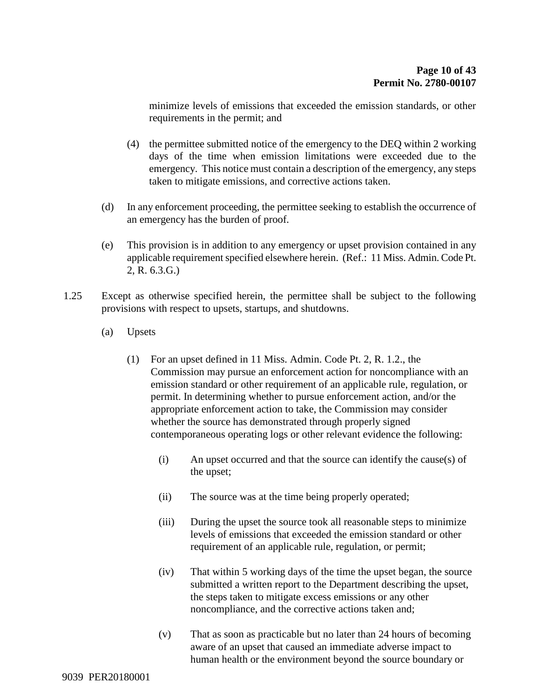minimize levels of emissions that exceeded the emission standards, or other requirements in the permit; and

- (4) the permittee submitted notice of the emergency to the DEQ within 2 working days of the time when emission limitations were exceeded due to the emergency. This notice must contain a description of the emergency, any steps taken to mitigate emissions, and corrective actions taken.
- (d) In any enforcement proceeding, the permittee seeking to establish the occurrence of an emergency has the burden of proof.
- (e) This provision is in addition to any emergency or upset provision contained in any applicable requirement specified elsewhere herein. (Ref.: 11 Miss. Admin. Code Pt. 2, R. 6.3.G.)
- 1.25 Except as otherwise specified herein, the permittee shall be subject to the following provisions with respect to upsets, startups, and shutdowns.
	- (a) Upsets
		- (1) For an upset defined in 11 Miss. Admin. Code Pt. 2, R. 1.2., the Commission may pursue an enforcement action for noncompliance with an emission standard or other requirement of an applicable rule, regulation, or permit. In determining whether to pursue enforcement action, and/or the appropriate enforcement action to take, the Commission may consider whether the source has demonstrated through properly signed contemporaneous operating logs or other relevant evidence the following:
			- (i) An upset occurred and that the source can identify the cause(s) of the upset;
			- (ii) The source was at the time being properly operated;
			- (iii) During the upset the source took all reasonable steps to minimize levels of emissions that exceeded the emission standard or other requirement of an applicable rule, regulation, or permit;
			- (iv) That within 5 working days of the time the upset began, the source submitted a written report to the Department describing the upset, the steps taken to mitigate excess emissions or any other noncompliance, and the corrective actions taken and;
			- (v) That as soon as practicable but no later than 24 hours of becoming aware of an upset that caused an immediate adverse impact to human health or the environment beyond the source boundary or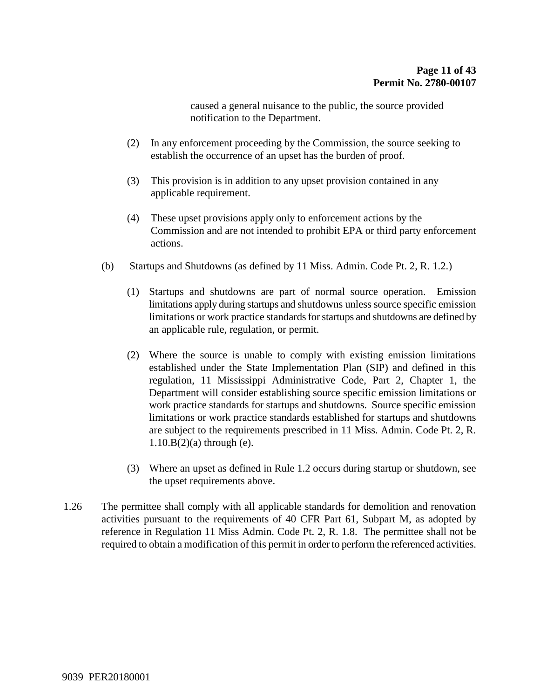caused a general nuisance to the public, the source provided notification to the Department.

- (2) In any enforcement proceeding by the Commission, the source seeking to establish the occurrence of an upset has the burden of proof.
- (3) This provision is in addition to any upset provision contained in any applicable requirement.
- (4) These upset provisions apply only to enforcement actions by the Commission and are not intended to prohibit EPA or third party enforcement actions.
- (b) Startups and Shutdowns (as defined by 11 Miss. Admin. Code Pt. 2, R. 1.2.)
	- (1) Startups and shutdowns are part of normal source operation. Emission limitations apply during startups and shutdowns unless source specific emission limitations or work practice standards for startups and shutdowns are defined by an applicable rule, regulation, or permit.
	- (2) Where the source is unable to comply with existing emission limitations established under the State Implementation Plan (SIP) and defined in this regulation, 11 Mississippi Administrative Code, Part 2, Chapter 1, the Department will consider establishing source specific emission limitations or work practice standards for startups and shutdowns. Source specific emission limitations or work practice standards established for startups and shutdowns are subject to the requirements prescribed in 11 Miss. Admin. Code Pt. 2, R.  $1.10.B(2)$ (a) through (e).
	- (3) Where an upset as defined in Rule 1.2 occurs during startup or shutdown, see the upset requirements above.
- 1.26 The permittee shall comply with all applicable standards for demolition and renovation activities pursuant to the requirements of 40 CFR Part 61, Subpart M, as adopted by reference in Regulation 11 Miss Admin. Code Pt. 2, R. 1.8. The permittee shall not be required to obtain a modification of this permit in order to perform the referenced activities.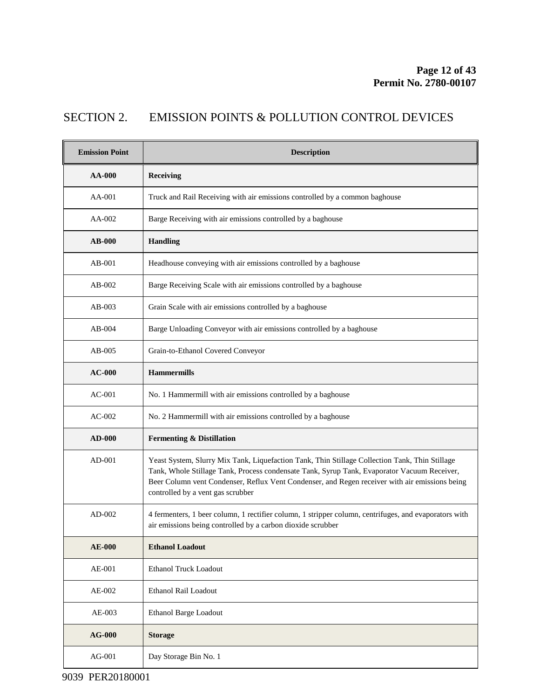## SECTION 2. EMISSION POINTS & POLLUTION CONTROL DEVICES

| <b>Emission Point</b> | <b>Description</b>                                                                                                                                                                                                                                                                                                                   |  |  |  |
|-----------------------|--------------------------------------------------------------------------------------------------------------------------------------------------------------------------------------------------------------------------------------------------------------------------------------------------------------------------------------|--|--|--|
| <b>AA-000</b>         | Receiving                                                                                                                                                                                                                                                                                                                            |  |  |  |
| AA-001                | Truck and Rail Receiving with air emissions controlled by a common baghouse                                                                                                                                                                                                                                                          |  |  |  |
| AA-002                | Barge Receiving with air emissions controlled by a baghouse                                                                                                                                                                                                                                                                          |  |  |  |
| $AB-000$              | <b>Handling</b>                                                                                                                                                                                                                                                                                                                      |  |  |  |
| $AB-001$              | Headhouse conveying with air emissions controlled by a baghouse                                                                                                                                                                                                                                                                      |  |  |  |
| $AB-002$              | Barge Receiving Scale with air emissions controlled by a baghouse                                                                                                                                                                                                                                                                    |  |  |  |
| $AB-003$              | Grain Scale with air emissions controlled by a baghouse                                                                                                                                                                                                                                                                              |  |  |  |
| $AB-004$              | Barge Unloading Conveyor with air emissions controlled by a baghouse                                                                                                                                                                                                                                                                 |  |  |  |
| $AB-005$              | Grain-to-Ethanol Covered Conveyor                                                                                                                                                                                                                                                                                                    |  |  |  |
| $AC-000$              | <b>Hammermills</b>                                                                                                                                                                                                                                                                                                                   |  |  |  |
| $AC-001$              | No. 1 Hammermill with air emissions controlled by a baghouse                                                                                                                                                                                                                                                                         |  |  |  |
| $AC-002$              | No. 2 Hammermill with air emissions controlled by a baghouse                                                                                                                                                                                                                                                                         |  |  |  |
| <b>AD-000</b>         | <b>Fermenting &amp; Distillation</b>                                                                                                                                                                                                                                                                                                 |  |  |  |
| $AD-001$              | Yeast System, Slurry Mix Tank, Liquefaction Tank, Thin Stillage Collection Tank, Thin Stillage<br>Tank, Whole Stillage Tank, Process condensate Tank, Syrup Tank, Evaporator Vacuum Receiver,<br>Beer Column vent Condenser, Reflux Vent Condenser, and Regen receiver with air emissions being<br>controlled by a vent gas scrubber |  |  |  |
| $AD-002$              | 4 fermenters, 1 beer column, 1 rectifier column, 1 stripper column, centrifuges, and evaporators with<br>air emissions being controlled by a carbon dioxide scrubber                                                                                                                                                                 |  |  |  |
| <b>AE-000</b>         | <b>Ethanol Loadout</b>                                                                                                                                                                                                                                                                                                               |  |  |  |
| AE-001                | <b>Ethanol Truck Loadout</b>                                                                                                                                                                                                                                                                                                         |  |  |  |
| AE-002                | Ethanol Rail Loadout                                                                                                                                                                                                                                                                                                                 |  |  |  |
| AE-003                | Ethanol Barge Loadout                                                                                                                                                                                                                                                                                                                |  |  |  |
| $AG-000$              | <b>Storage</b>                                                                                                                                                                                                                                                                                                                       |  |  |  |
| $AG-001$              | Day Storage Bin No. 1                                                                                                                                                                                                                                                                                                                |  |  |  |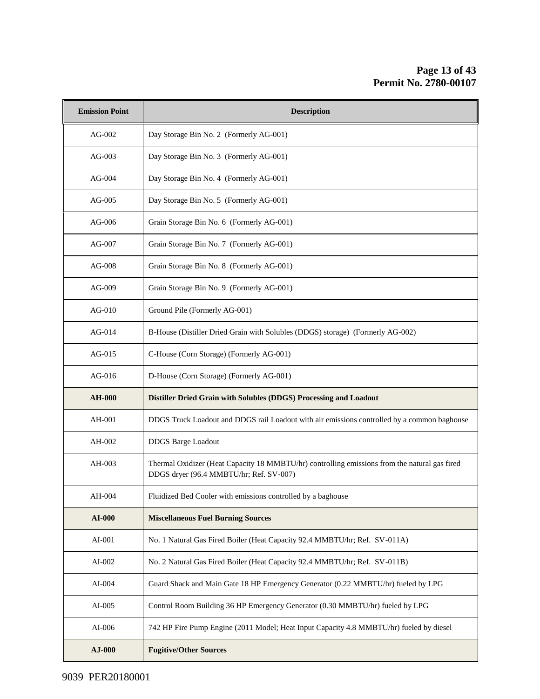| <b>Emission Point</b> | <b>Description</b>                                                                                                                       |  |  |  |
|-----------------------|------------------------------------------------------------------------------------------------------------------------------------------|--|--|--|
| $AG-002$              | Day Storage Bin No. 2 (Formerly AG-001)                                                                                                  |  |  |  |
| $AG-003$              | Day Storage Bin No. 3 (Formerly AG-001)                                                                                                  |  |  |  |
| AG-004                | Day Storage Bin No. 4 (Formerly AG-001)                                                                                                  |  |  |  |
| AG-005                | Day Storage Bin No. 5 (Formerly AG-001)                                                                                                  |  |  |  |
| AG-006                | Grain Storage Bin No. 6 (Formerly AG-001)                                                                                                |  |  |  |
| AG-007                | Grain Storage Bin No. 7 (Formerly AG-001)                                                                                                |  |  |  |
| AG-008                | Grain Storage Bin No. 8 (Formerly AG-001)                                                                                                |  |  |  |
| $AG-009$              | Grain Storage Bin No. 9 (Formerly AG-001)                                                                                                |  |  |  |
| $AG-010$              | Ground Pile (Formerly AG-001)                                                                                                            |  |  |  |
| AG-014                | B-House (Distiller Dried Grain with Solubles (DDGS) storage) (Formerly AG-002)                                                           |  |  |  |
| $AG-015$              | C-House (Corn Storage) (Formerly AG-001)                                                                                                 |  |  |  |
| AG-016                | D-House (Corn Storage) (Formerly AG-001)                                                                                                 |  |  |  |
| <b>AH-000</b>         | Distiller Dried Grain with Solubles (DDGS) Processing and Loadout                                                                        |  |  |  |
| AH-001                | DDGS Truck Loadout and DDGS rail Loadout with air emissions controlled by a common baghouse                                              |  |  |  |
| AH-002                | <b>DDGS</b> Barge Loadout                                                                                                                |  |  |  |
| AH-003                | Thermal Oxidizer (Heat Capacity 18 MMBTU/hr) controlling emissions from the natural gas fired<br>DDGS dryer (96.4 MMBTU/hr; Ref. SV-007) |  |  |  |
| AH-004                | Fluidized Bed Cooler with emissions controlled by a baghouse                                                                             |  |  |  |
| AI-000                | <b>Miscellaneous Fuel Burning Sources</b>                                                                                                |  |  |  |
| AI-001                | No. 1 Natural Gas Fired Boiler (Heat Capacity 92.4 MMBTU/hr; Ref. SV-011A)                                                               |  |  |  |
| AI-002                | No. 2 Natural Gas Fired Boiler (Heat Capacity 92.4 MMBTU/hr; Ref. SV-011B)                                                               |  |  |  |
| AI-004                | Guard Shack and Main Gate 18 HP Emergency Generator (0.22 MMBTU/hr) fueled by LPG                                                        |  |  |  |
| $AI-005$              | Control Room Building 36 HP Emergency Generator (0.30 MMBTU/hr) fueled by LPG                                                            |  |  |  |
| AI-006                | 742 HP Fire Pump Engine (2011 Model; Heat Input Capacity 4.8 MMBTU/hr) fueled by diesel                                                  |  |  |  |
| AJ-000                | <b>Fugitive/Other Sources</b>                                                                                                            |  |  |  |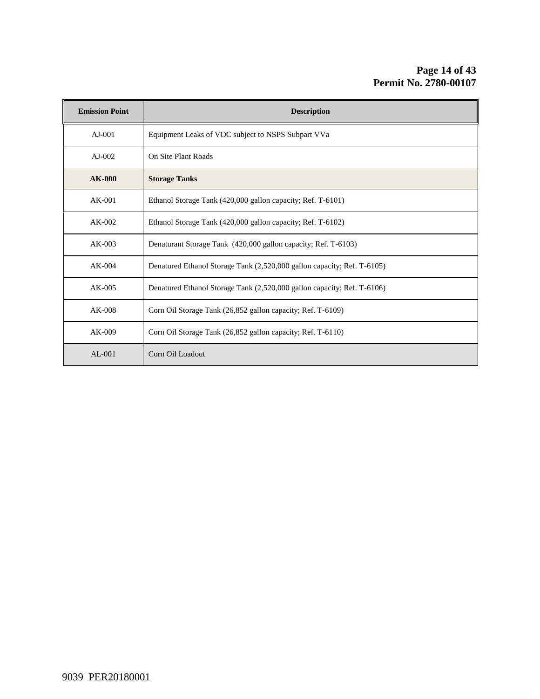| <b>Emission Point</b> | <b>Description</b>                                                      |
|-----------------------|-------------------------------------------------------------------------|
| $AJ-001$              | Equipment Leaks of VOC subject to NSPS Subpart VVa                      |
| $AJ-002$              | On Site Plant Roads                                                     |
| $AK-000$              | <b>Storage Tanks</b>                                                    |
| $AK-001$              | Ethanol Storage Tank (420,000 gallon capacity; Ref. T-6101)             |
| $AK-002$              | Ethanol Storage Tank (420,000 gallon capacity; Ref. T-6102)             |
| $AK-003$              | Denaturant Storage Tank (420,000 gallon capacity; Ref. T-6103)          |
| $AK-004$              | Denatured Ethanol Storage Tank (2,520,000 gallon capacity; Ref. T-6105) |
| $AK-005$              | Denatured Ethanol Storage Tank (2,520,000 gallon capacity; Ref. T-6106) |
| $AK-008$              | Corn Oil Storage Tank (26,852 gallon capacity; Ref. T-6109)             |
| $AK-009$              | Corn Oil Storage Tank (26,852 gallon capacity; Ref. T-6110)             |
| $AL-001$              | Corn Oil Loadout                                                        |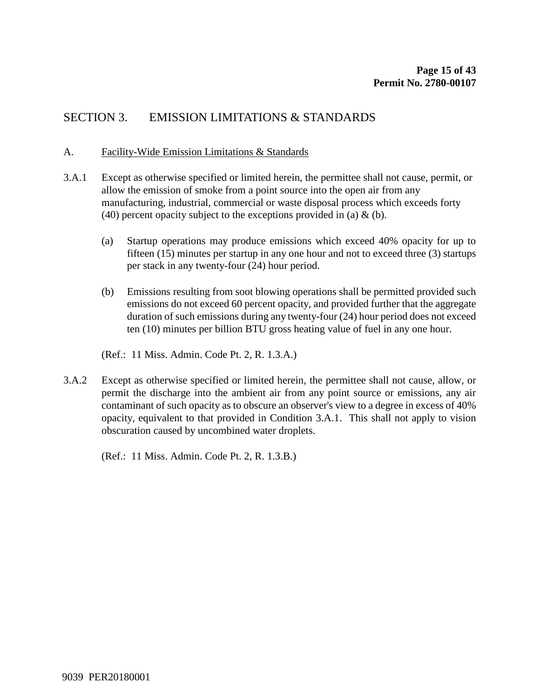## SECTION 3. EMISSION LIMITATIONS & STANDARDS

#### A. Facility-Wide Emission Limitations & Standards

- 3.A.1 Except as otherwise specified or limited herein, the permittee shall not cause, permit, or allow the emission of smoke from a point source into the open air from any manufacturing, industrial, commercial or waste disposal process which exceeds forty (40) percent opacity subject to the exceptions provided in (a)  $\&$  (b).
	- (a) Startup operations may produce emissions which exceed 40% opacity for up to fifteen (15) minutes per startup in any one hour and not to exceed three (3) startups per stack in any twenty-four (24) hour period.
	- (b) Emissions resulting from soot blowing operations shall be permitted provided such emissions do not exceed 60 percent opacity, and provided further that the aggregate duration of such emissions during any twenty-four (24) hour period does not exceed ten (10) minutes per billion BTU gross heating value of fuel in any one hour.

(Ref.: 11 Miss. Admin. Code Pt. 2, R. 1.3.A.)

3.A.2 Except as otherwise specified or limited herein, the permittee shall not cause, allow, or permit the discharge into the ambient air from any point source or emissions, any air contaminant of such opacity as to obscure an observer's view to a degree in excess of 40% opacity, equivalent to that provided in Condition 3.A.1. This shall not apply to vision obscuration caused by uncombined water droplets.

(Ref.: 11 Miss. Admin. Code Pt. 2, R. 1.3.B.)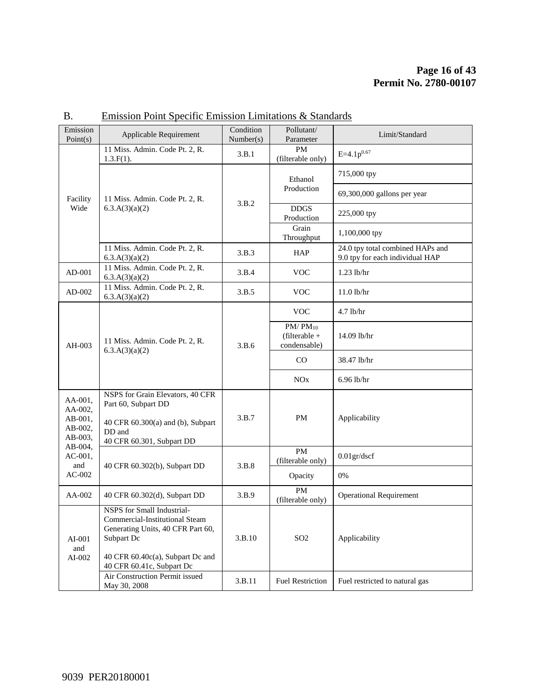| Emission<br>Point(s)                | Applicable Requirement                                                                                                                                                           | Condition<br>Number(s) | Pollutant/<br>Parameter                         | Limit/Standard                                                      |
|-------------------------------------|----------------------------------------------------------------------------------------------------------------------------------------------------------------------------------|------------------------|-------------------------------------------------|---------------------------------------------------------------------|
|                                     | 11 Miss. Admin. Code Pt. 2, R.<br>$1.3.F(1)$ .                                                                                                                                   | 3.B.1                  | <b>PM</b><br>(filterable only)                  | $E=4.1p^{0.67}$                                                     |
|                                     |                                                                                                                                                                                  |                        | Ethanol                                         | 715,000 tpy                                                         |
| Facility                            | 11 Miss. Admin. Code Pt. 2, R.                                                                                                                                                   |                        | Production                                      | 69,300,000 gallons per year                                         |
| Wide                                | 6.3.A(3)(a)(2)                                                                                                                                                                   | 3.B.2                  | <b>DDGS</b><br>Production                       | 225,000 tpy                                                         |
|                                     |                                                                                                                                                                                  |                        | Grain<br>Throughput                             | 1,100,000 tpy                                                       |
|                                     | 11 Miss. Admin. Code Pt. 2, R.<br>6.3.A(3)(a)(2)                                                                                                                                 | 3.B.3                  | <b>HAP</b>                                      | 24.0 tpy total combined HAPs and<br>9.0 tpy for each individual HAP |
| AD-001                              | 11 Miss. Admin. Code Pt. 2, R.<br>6.3.A(3)(a)(2)                                                                                                                                 | 3.B.4                  | <b>VOC</b>                                      | $1.23$ lb/hr                                                        |
| AD-002                              | 11 Miss. Admin. Code Pt. 2, R.<br>6.3.A(3)(a)(2)                                                                                                                                 | 3.B.5                  | <b>VOC</b>                                      | $11.0$ lb/hr                                                        |
|                                     |                                                                                                                                                                                  |                        | <b>VOC</b>                                      | $4.7$ lb/hr                                                         |
| AH-003                              | 11 Miss. Admin. Code Pt. 2, R.<br>6.3.A(3)(a)(2)                                                                                                                                 | 3.B.6                  | $PM/PM_{10}$<br>$(filterable +$<br>condensable) | 14.09 lb/hr                                                         |
|                                     |                                                                                                                                                                                  |                        | CO                                              | 38.47 lb/hr                                                         |
|                                     |                                                                                                                                                                                  |                        | <b>NO</b> x                                     | 6.96 lb/hr                                                          |
| AA-001.<br>AA-002,                  | NSPS for Grain Elevators, 40 CFR<br>Part 60, Subpart DD                                                                                                                          |                        |                                                 |                                                                     |
| $AB-001$ ,<br>$AB-002$ ,<br>AB-003, | 40 CFR $60.300(a)$ and (b), Subpart<br>DD and<br>40 CFR 60.301, Subpart DD                                                                                                       | 3.B.7                  | PM                                              | Applicability                                                       |
| AB-004,<br>$AC-001$ ,               |                                                                                                                                                                                  |                        | PM<br>(filterable only)                         | $0.01$ gr/dscf                                                      |
| and<br>$AC-002$                     | 40 CFR 60.302(b), Subpart DD                                                                                                                                                     | 3.B.8                  | Opacity                                         | $0\%$                                                               |
| AA-002                              | 40 CFR 60.302(d), Subpart DD                                                                                                                                                     | 3.B.9                  | <b>PM</b><br>(filterable only)                  | <b>Operational Requirement</b>                                      |
| $AI-001$<br>and<br>AI-002           | NSPS for Small Industrial-<br>Commercial-Institutional Steam<br>Generating Units, 40 CFR Part 60,<br>Subpart Dc<br>40 CFR 60.40c(a), Subpart Dc and<br>40 CFR 60.41c, Subpart Dc | 3.B.10                 | SO <sub>2</sub>                                 | Applicability                                                       |
|                                     | Air Construction Permit issued<br>May 30, 2008                                                                                                                                   | 3.B.11                 | <b>Fuel Restriction</b>                         | Fuel restricted to natural gas                                      |

## B. Emission Point Specific Emission Limitations & Standards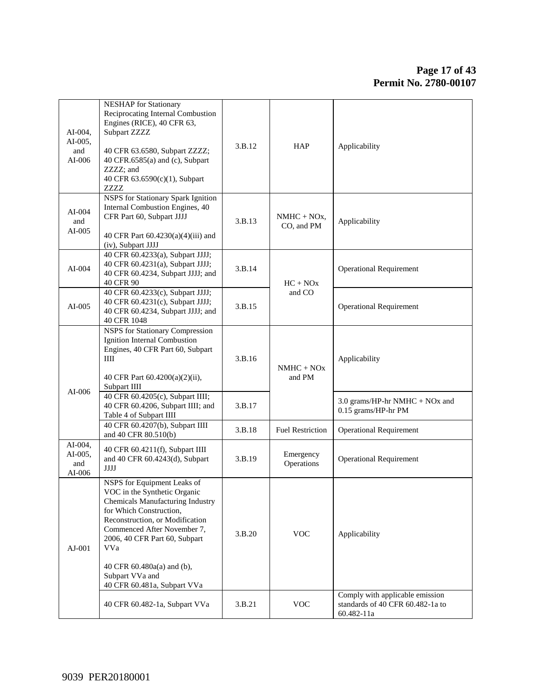| Internal Combustion Engines, 40<br>$AI-004$<br>CFR Part 60, Subpart JJJJ<br>$NMHC + NOx,$<br>3.B.13<br>Applicability<br>and<br>CO, and PM<br>AI-005<br>40 CFR Part 60.4230(a)(4)(iii) and<br>(iv), Subpart JJJJ<br>40 CFR 60.4233(a), Subpart JJJJ;<br>40 CFR 60.4231(a), Subpart JJJJ;<br>$AI-004$<br>3.B.14<br><b>Operational Requirement</b><br>40 CFR 60.4234, Subpart JJJJ; and<br>40 CFR 90<br>$HC + NOx$<br>40 CFR 60.4233(c), Subpart JJJJ;<br>and CO<br>40 CFR 60.4231(c), Subpart JJJJ;<br>$AI-005$<br>3.B.15<br><b>Operational Requirement</b><br>40 CFR 60.4234, Subpart JJJJ; and<br>40 CFR 1048<br><b>NSPS</b> for Stationary Compression<br>Ignition Internal Combustion<br>Engines, 40 CFR Part 60, Subpart<br>Ш<br>3.B.16<br>Applicability<br>$NMHC + NOx$<br>40 CFR Part 60.4200(a)(2)(ii),<br>and PM<br>Subpart IIII<br>$AI-006$<br>40 CFR 60.4205(c), Subpart IIII;<br>3.0 grams/HP-hr NMHC + NOx and<br>40 CFR 60.4206, Subpart IIII; and<br>3.B.17<br>0.15 grams/HP-hr PM<br>Table 4 of Subpart IIII<br>40 CFR 60.4207(b), Subpart IIII<br><b>Operational Requirement</b><br>3.B.18<br><b>Fuel Restriction</b><br>and 40 CFR 80.510(b)<br>AI-004,<br>40 CFR 60.4211(f), Subpart IIII<br>AI-005,<br>Emergency<br>and 40 CFR 60.4243(d), Subpart<br>3.B.19<br><b>Operational Requirement</b><br>Operations<br>and<br>JJJJ<br>AI-006<br>NSPS for Equipment Leaks of<br>VOC in the Synthetic Organic<br>Chemicals Manufacturing Industry<br>for Which Construction,<br>Reconstruction, or Modification<br>Commenced After November 7,<br><b>VOC</b><br>3.B.20<br>Applicability<br>2006, 40 CFR Part 60, Subpart<br>$AJ-001$<br>VVa<br>40 CFR 60.480a(a) and (b),<br>Subpart VVa and<br>40 CFR 60.481a, Subpart VVa<br>Comply with applicable emission | AI-004,<br>AI-005,<br>and<br>AI-006 | NESHAP for Stationary<br>Reciprocating Internal Combustion<br>Engines (RICE), 40 CFR 63,<br>Subpart ZZZZ<br>40 CFR 63.6580, Subpart ZZZZ;<br>40 CFR.6585(a) and (c), Subpart<br>ZZZZ; and<br>40 CFR 63.6590(c)(1), Subpart<br><b>ZZZZ</b><br>NSPS for Stationary Spark Ignition | 3.B.12 | HAP | Applicability |
|-------------------------------------------------------------------------------------------------------------------------------------------------------------------------------------------------------------------------------------------------------------------------------------------------------------------------------------------------------------------------------------------------------------------------------------------------------------------------------------------------------------------------------------------------------------------------------------------------------------------------------------------------------------------------------------------------------------------------------------------------------------------------------------------------------------------------------------------------------------------------------------------------------------------------------------------------------------------------------------------------------------------------------------------------------------------------------------------------------------------------------------------------------------------------------------------------------------------------------------------------------------------------------------------------------------------------------------------------------------------------------------------------------------------------------------------------------------------------------------------------------------------------------------------------------------------------------------------------------------------------------------------------------------------------------------------------------------------------------------------------------------------------|-------------------------------------|---------------------------------------------------------------------------------------------------------------------------------------------------------------------------------------------------------------------------------------------------------------------------------|--------|-----|---------------|
|                                                                                                                                                                                                                                                                                                                                                                                                                                                                                                                                                                                                                                                                                                                                                                                                                                                                                                                                                                                                                                                                                                                                                                                                                                                                                                                                                                                                                                                                                                                                                                                                                                                                                                                                                                         |                                     |                                                                                                                                                                                                                                                                                 |        |     |               |
|                                                                                                                                                                                                                                                                                                                                                                                                                                                                                                                                                                                                                                                                                                                                                                                                                                                                                                                                                                                                                                                                                                                                                                                                                                                                                                                                                                                                                                                                                                                                                                                                                                                                                                                                                                         |                                     |                                                                                                                                                                                                                                                                                 |        |     |               |
|                                                                                                                                                                                                                                                                                                                                                                                                                                                                                                                                                                                                                                                                                                                                                                                                                                                                                                                                                                                                                                                                                                                                                                                                                                                                                                                                                                                                                                                                                                                                                                                                                                                                                                                                                                         |                                     |                                                                                                                                                                                                                                                                                 |        |     |               |
|                                                                                                                                                                                                                                                                                                                                                                                                                                                                                                                                                                                                                                                                                                                                                                                                                                                                                                                                                                                                                                                                                                                                                                                                                                                                                                                                                                                                                                                                                                                                                                                                                                                                                                                                                                         |                                     |                                                                                                                                                                                                                                                                                 |        |     |               |
|                                                                                                                                                                                                                                                                                                                                                                                                                                                                                                                                                                                                                                                                                                                                                                                                                                                                                                                                                                                                                                                                                                                                                                                                                                                                                                                                                                                                                                                                                                                                                                                                                                                                                                                                                                         |                                     |                                                                                                                                                                                                                                                                                 |        |     |               |
|                                                                                                                                                                                                                                                                                                                                                                                                                                                                                                                                                                                                                                                                                                                                                                                                                                                                                                                                                                                                                                                                                                                                                                                                                                                                                                                                                                                                                                                                                                                                                                                                                                                                                                                                                                         |                                     |                                                                                                                                                                                                                                                                                 |        |     |               |
|                                                                                                                                                                                                                                                                                                                                                                                                                                                                                                                                                                                                                                                                                                                                                                                                                                                                                                                                                                                                                                                                                                                                                                                                                                                                                                                                                                                                                                                                                                                                                                                                                                                                                                                                                                         |                                     |                                                                                                                                                                                                                                                                                 |        |     |               |
|                                                                                                                                                                                                                                                                                                                                                                                                                                                                                                                                                                                                                                                                                                                                                                                                                                                                                                                                                                                                                                                                                                                                                                                                                                                                                                                                                                                                                                                                                                                                                                                                                                                                                                                                                                         |                                     |                                                                                                                                                                                                                                                                                 |        |     |               |
| standards of 40 CFR 60.482-1a to<br>3.B.21<br><b>VOC</b><br>40 CFR 60.482-1a, Subpart VVa<br>60.482-11a                                                                                                                                                                                                                                                                                                                                                                                                                                                                                                                                                                                                                                                                                                                                                                                                                                                                                                                                                                                                                                                                                                                                                                                                                                                                                                                                                                                                                                                                                                                                                                                                                                                                 |                                     |                                                                                                                                                                                                                                                                                 |        |     |               |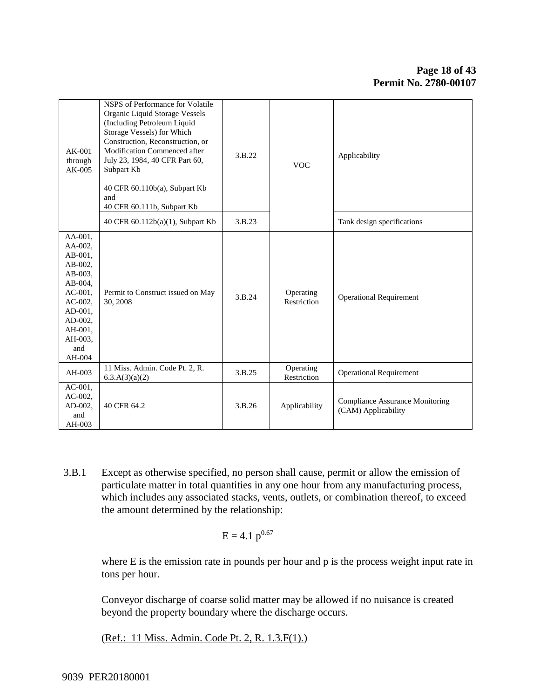| $AK-001$<br>through<br>$AK-005$                                                                                                                                  | NSPS of Performance for Volatile<br>Organic Liquid Storage Vessels<br>(Including Petroleum Liquid<br>Storage Vessels) for Which<br>Construction, Reconstruction, or<br>Modification Commenced after<br>July 23, 1984, 40 CFR Part 60,<br>Subpart Kb<br>40 CFR 60.110b(a), Subpart Kb<br>and<br>40 CFR 60.111b, Subpart Kb | 3.B.22 | <b>VOC</b>               | Applicability                                                 |
|------------------------------------------------------------------------------------------------------------------------------------------------------------------|---------------------------------------------------------------------------------------------------------------------------------------------------------------------------------------------------------------------------------------------------------------------------------------------------------------------------|--------|--------------------------|---------------------------------------------------------------|
|                                                                                                                                                                  | 40 CFR 60.112b(a)(1), Subpart Kb                                                                                                                                                                                                                                                                                          | 3.B.23 |                          | Tank design specifications                                    |
| AA-001,<br>AA-002,<br>$AB-001$ ,<br>AB-002,<br>AB-003,<br>$AB-004$ ,<br>$AC-001$ ,<br>$AC-002$ ,<br>$AD-001$ ,<br>AD-002,<br>AH-001,<br>AH-003,<br>and<br>AH-004 | Permit to Construct issued on May<br>30, 2008                                                                                                                                                                                                                                                                             | 3.B.24 | Operating<br>Restriction | <b>Operational Requirement</b>                                |
| AH-003                                                                                                                                                           | 11 Miss. Admin. Code Pt. 2, R.<br>6.3.A(3)(a)(2)                                                                                                                                                                                                                                                                          | 3.B.25 | Operating<br>Restriction | <b>Operational Requirement</b>                                |
| $AC-001$ ,<br>$AC-002$ ,<br>AD-002,<br>and<br>AH-003                                                                                                             | 40 CFR 64.2                                                                                                                                                                                                                                                                                                               | 3.B.26 | Applicability            | <b>Compliance Assurance Monitoring</b><br>(CAM) Applicability |

3.B.1 Except as otherwise specified, no person shall cause, permit or allow the emission of particulate matter in total quantities in any one hour from any manufacturing process, which includes any associated stacks, vents, outlets, or combination thereof, to exceed the amount determined by the relationship:

$$
E = 4.1 \, p^{0.67}
$$

where E is the emission rate in pounds per hour and p is the process weight input rate in tons per hour.

Conveyor discharge of coarse solid matter may be allowed if no nuisance is created beyond the property boundary where the discharge occurs.

(Ref.: 11 Miss. Admin. Code Pt. 2, R. 1.3.F(1).)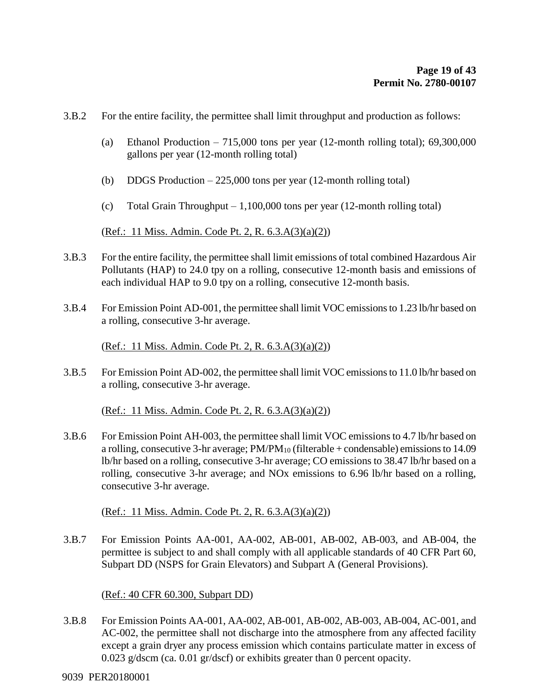- 3.B.2 For the entire facility, the permittee shall limit throughput and production as follows:
	- (a) Ethanol Production 715,000 tons per year (12-month rolling total); 69,300,000 gallons per year (12-month rolling total)
	- (b) DDGS Production 225,000 tons per year (12-month rolling total)
	- (c) Total Grain Throughput 1,100,000 tons per year (12-month rolling total)

(Ref.: 11 Miss. Admin. Code Pt. 2, R. 6.3.A(3)(a)(2))

- 3.B.3 For the entire facility, the permittee shall limit emissions of total combined Hazardous Air Pollutants (HAP) to 24.0 tpy on a rolling, consecutive 12-month basis and emissions of each individual HAP to 9.0 tpy on a rolling, consecutive 12-month basis.
- 3.B.4 For Emission Point AD-001, the permittee shall limit VOC emissions to 1.23 lb/hr based on a rolling, consecutive 3-hr average.

(Ref.: 11 Miss. Admin. Code Pt. 2, R. 6.3.A(3)(a)(2))

3.B.5 For Emission Point AD-002, the permittee shall limit VOC emissions to 11.0 lb/hr based on a rolling, consecutive 3-hr average.

(Ref.: 11 Miss. Admin. Code Pt. 2, R. 6.3.A(3)(a)(2))

3.B.6 For Emission Point AH-003, the permittee shall limit VOC emissionsto 4.7 lb/hr based on a rolling, consecutive 3-hr average;  $PM/PM_{10}$  (filterable + condensable) emissions to 14.09 lb/hr based on a rolling, consecutive 3-hr average; CO emissions to 38.47 lb/hr based on a rolling, consecutive 3-hr average; and NOx emissions to 6.96 lb/hr based on a rolling, consecutive 3-hr average.

(Ref.: 11 Miss. Admin. Code Pt. 2, R. 6.3.A(3)(a)(2))

3.B.7 For Emission Points AA-001, AA-002, AB-001, AB-002, AB-003, and AB-004, the permittee is subject to and shall comply with all applicable standards of 40 CFR Part 60, Subpart DD (NSPS for Grain Elevators) and Subpart A (General Provisions).

(Ref.: 40 CFR 60.300, Subpart DD)

3.B.8 For Emission Points AA-001, AA-002, AB-001, AB-002, AB-003, AB-004, AC-001, and AC-002, the permittee shall not discharge into the atmosphere from any affected facility except a grain dryer any process emission which contains particulate matter in excess of 0.023 g/dscm (ca. 0.01 gr/dscf) or exhibits greater than 0 percent opacity.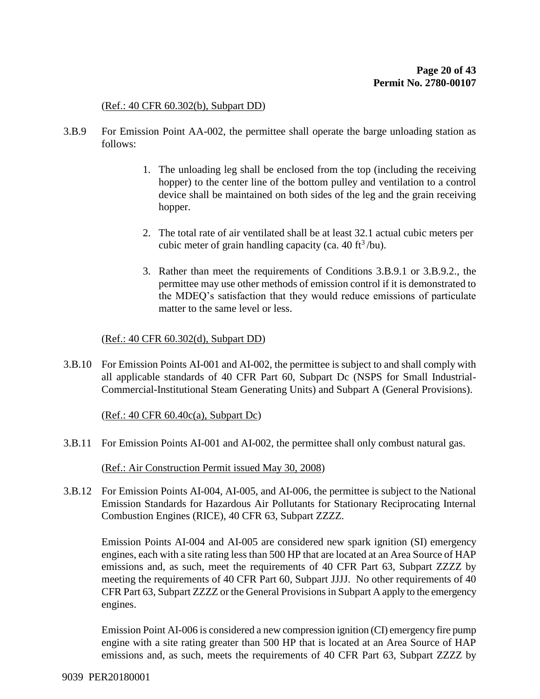### (Ref.: 40 CFR 60.302(b), Subpart DD)

- 3.B.9 For Emission Point AA-002, the permittee shall operate the barge unloading station as follows:
	- 1. The unloading leg shall be enclosed from the top (including the receiving hopper) to the center line of the bottom pulley and ventilation to a control device shall be maintained on both sides of the leg and the grain receiving hopper.
	- 2. The total rate of air ventilated shall be at least 32.1 actual cubic meters per cubic meter of grain handling capacity (ca. 40 ft<sup>3</sup>/bu).
	- 3. Rather than meet the requirements of Conditions 3.B.9.1 or 3.B.9.2., the permittee may use other methods of emission control if it is demonstrated to the MDEQ's satisfaction that they would reduce emissions of particulate matter to the same level or less.

#### (Ref.: 40 CFR 60.302(d), Subpart DD)

3.B.10 For Emission Points AI-001 and AI-002, the permittee is subject to and shall comply with all applicable standards of 40 CFR Part 60, Subpart Dc (NSPS for Small Industrial-Commercial-Institutional Steam Generating Units) and Subpart A (General Provisions).

#### (Ref.: 40 CFR 60.40c(a), Subpart Dc)

3.B.11 For Emission Points AI-001 and AI-002, the permittee shall only combust natural gas.

(Ref.: Air Construction Permit issued May 30, 2008)

3.B.12 For Emission Points AI-004, AI-005, and AI-006, the permittee is subject to the National Emission Standards for Hazardous Air Pollutants for Stationary Reciprocating Internal Combustion Engines (RICE), 40 CFR 63, Subpart ZZZZ.

Emission Points AI-004 and AI-005 are considered new spark ignition (SI) emergency engines, each with a site rating less than 500 HP that are located at an Area Source of HAP emissions and, as such, meet the requirements of 40 CFR Part 63, Subpart ZZZZ by meeting the requirements of 40 CFR Part 60, Subpart JJJJ. No other requirements of 40 CFR Part 63, Subpart ZZZZ or the General Provisions in Subpart A apply to the emergency engines.

Emission Point AI-006 is considered a new compression ignition (CI) emergency fire pump engine with a site rating greater than 500 HP that is located at an Area Source of HAP emissions and, as such, meets the requirements of 40 CFR Part 63, Subpart ZZZZ by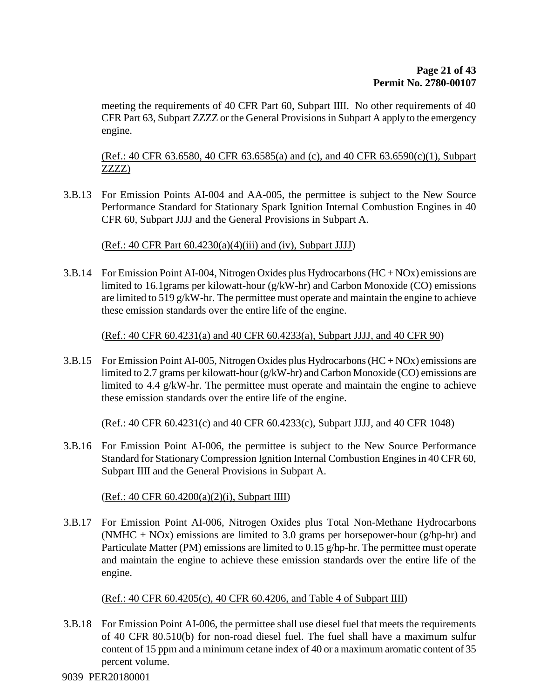meeting the requirements of 40 CFR Part 60, Subpart IIII. No other requirements of 40 CFR Part 63, Subpart ZZZZ or the General Provisions in Subpart A apply to the emergency engine.

(Ref.: 40 CFR 63.6580, 40 CFR 63.6585(a) and (c), and 40 CFR 63.6590(c)(1), Subpart ZZZZ)

3.B.13 For Emission Points AI-004 and AA-005, the permittee is subject to the New Source Performance Standard for Stationary Spark Ignition Internal Combustion Engines in 40 CFR 60, Subpart JJJJ and the General Provisions in Subpart A.

 $(Ref.: 40 CFR Part 60.4230(a)(4)(iii)$  and (iv), Subpart JJJJ)

3.B.14 For Emission Point AI-004, Nitrogen Oxides plus Hydrocarbons(HC + NOx) emissions are limited to 16.1grams per kilowatt-hour (g/kW-hr) and Carbon Monoxide (CO) emissions are limited to 519 g/kW-hr. The permittee must operate and maintain the engine to achieve these emission standards over the entire life of the engine.

(Ref.: 40 CFR 60.4231(a) and 40 CFR 60.4233(a), Subpart JJJJ, and 40 CFR 90)

3.B.15 For Emission Point AI-005, Nitrogen Oxides plus Hydrocarbons(HC + NOx) emissions are limited to 2.7 grams per kilowatt-hour (g/kW-hr) and Carbon Monoxide (CO) emissions are limited to 4.4 g/kW-hr. The permittee must operate and maintain the engine to achieve these emission standards over the entire life of the engine.

(Ref.: 40 CFR 60.4231(c) and 40 CFR 60.4233(c), Subpart JJJJ, and 40 CFR 1048)

3.B.16 For Emission Point AI-006, the permittee is subject to the New Source Performance Standard for Stationary Compression Ignition Internal Combustion Engines in 40 CFR 60, Subpart IIII and the General Provisions in Subpart A.

(Ref.: 40 CFR 60.4200(a)(2)(i), Subpart IIII)

3.B.17 For Emission Point AI-006, Nitrogen Oxides plus Total Non-Methane Hydrocarbons (NMHC + NOx) emissions are limited to 3.0 grams per horsepower-hour (g/hp-hr) and Particulate Matter (PM) emissions are limited to 0.15 g/hp-hr. The permittee must operate and maintain the engine to achieve these emission standards over the entire life of the engine.

### (Ref.: 40 CFR 60.4205(c), 40 CFR 60.4206, and Table 4 of Subpart IIII)

3.B.18 For Emission Point AI-006, the permittee shall use diesel fuel that meets the requirements of 40 CFR 80.510(b) for non-road diesel fuel. The fuel shall have a maximum sulfur content of 15 ppm and a minimum cetane index of 40 or a maximum aromatic content of 35 percent volume.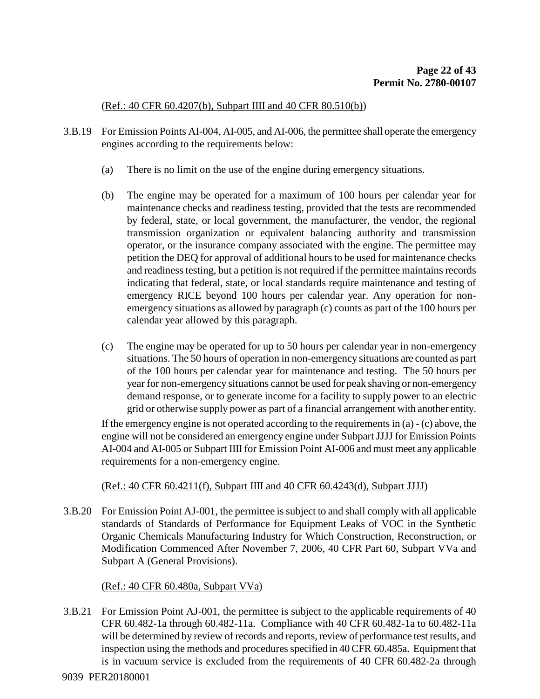### (Ref.: 40 CFR 60.4207(b), Subpart IIII and 40 CFR 80.510(b))

- 3.B.19 For Emission Points AI-004, AI-005, and AI-006, the permittee shall operate the emergency engines according to the requirements below:
	- (a) There is no limit on the use of the engine during emergency situations.
	- (b) The engine may be operated for a maximum of 100 hours per calendar year for maintenance checks and readiness testing, provided that the tests are recommended by federal, state, or local government, the manufacturer, the vendor, the regional transmission organization or equivalent balancing authority and transmission operator, or the insurance company associated with the engine. The permittee may petition the DEQ for approval of additional hours to be used for maintenance checks and readiness testing, but a petition is not required if the permittee maintains records indicating that federal, state, or local standards require maintenance and testing of emergency RICE beyond 100 hours per calendar year. Any operation for nonemergency situations as allowed by paragraph (c) counts as part of the 100 hours per calendar year allowed by this paragraph.
	- (c) The engine may be operated for up to 50 hours per calendar year in non-emergency situations. The 50 hours of operation in non-emergency situations are counted as part of the 100 hours per calendar year for maintenance and testing. The 50 hours per year for non-emergency situations cannot be used for peak shaving or non-emergency demand response, or to generate income for a facility to supply power to an electric grid or otherwise supply power as part of a financial arrangement with another entity.

If the emergency engine is not operated according to the requirements in (a) - (c) above, the engine will not be considered an emergency engine under Subpart JJJJ for Emission Points AI-004 and AI-005 or Subpart IIII for Emission Point AI-006 and must meet any applicable requirements for a non-emergency engine.

### (Ref.: 40 CFR 60.4211(f), Subpart IIII and 40 CFR 60.4243(d), Subpart JJJJ)

3.B.20 For Emission Point AJ-001, the permittee is subject to and shall comply with all applicable standards of Standards of Performance for Equipment Leaks of VOC in the Synthetic Organic Chemicals Manufacturing Industry for Which Construction, Reconstruction, or Modification Commenced After November 7, 2006, 40 CFR Part 60, Subpart VVa and Subpart A (General Provisions).

### (Ref.: 40 CFR 60.480a, Subpart VVa)

3.B.21 For Emission Point AJ-001, the permittee is subject to the applicable requirements of 40 CFR 60.482-1a through 60.482-11a. Compliance with 40 CFR 60.482-1a to 60.482-11a will be determined by review of records and reports, review of performance test results, and inspection using the methods and procedures specified in 40 CFR 60.485a. Equipment that is in vacuum service is excluded from the requirements of 40 CFR 60.482-2a through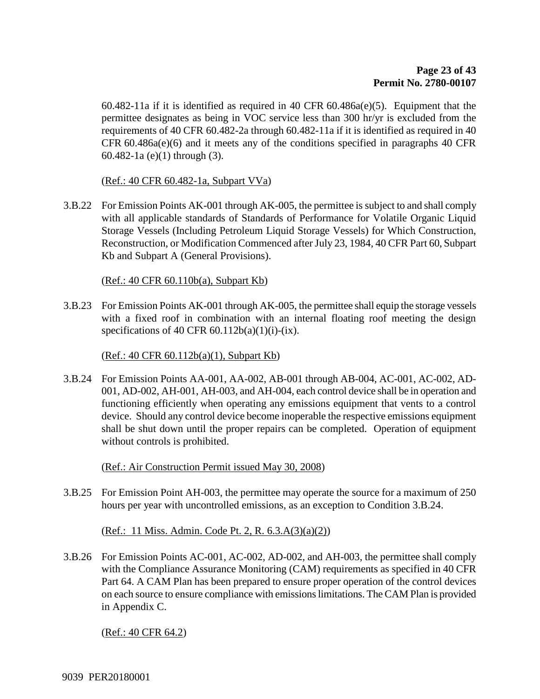60.482-11a if it is identified as required in 40 CFR 60.486a(e)(5). Equipment that the permittee designates as being in VOC service less than 300 hr/yr is excluded from the requirements of 40 CFR 60.482-2a through 60.482-11a if it is identified as required in 40 CFR 60.486a(e)(6) and it meets any of the conditions specified in paragraphs 40 CFR 60.482-1a (e)(1) through (3).

(Ref.: 40 CFR 60.482-1a, Subpart VVa)

3.B.22 For Emission Points AK-001 through AK-005, the permittee is subject to and shall comply with all applicable standards of Standards of Performance for Volatile Organic Liquid Storage Vessels (Including Petroleum Liquid Storage Vessels) for Which Construction, Reconstruction, or Modification Commenced after July 23, 1984, 40 CFR Part 60, Subpart Kb and Subpart A (General Provisions).

(Ref.: 40 CFR 60.110b(a), Subpart Kb)

3.B.23 For Emission Points AK-001 through AK-005, the permittee shall equip the storage vessels with a fixed roof in combination with an internal floating roof meeting the design specifications of 40 CFR  $60.112b(a)(1)(i)-(ix)$ .

(Ref.: 40 CFR 60.112b(a)(1), Subpart Kb)

3.B.24 For Emission Points AA-001, AA-002, AB-001 through AB-004, AC-001, AC-002, AD-001, AD-002, AH-001, AH-003, and AH-004, each control device shall be in operation and functioning efficiently when operating any emissions equipment that vents to a control device. Should any control device become inoperable the respective emissions equipment shall be shut down until the proper repairs can be completed. Operation of equipment without controls is prohibited.

(Ref.: Air Construction Permit issued May 30, 2008)

3.B.25 For Emission Point AH-003, the permittee may operate the source for a maximum of 250 hours per year with uncontrolled emissions, as an exception to Condition 3.B.24.

(Ref.: 11 Miss. Admin. Code Pt. 2, R. 6.3.A(3)(a)(2))

3.B.26 For Emission Points AC-001, AC-002, AD-002, and AH-003, the permittee shall comply with the Compliance Assurance Monitoring (CAM) requirements as specified in 40 CFR Part 64. A CAM Plan has been prepared to ensure proper operation of the control devices on each source to ensure compliance with emissions limitations. The CAM Plan is provided in Appendix C.

(Ref.: 40 CFR 64.2)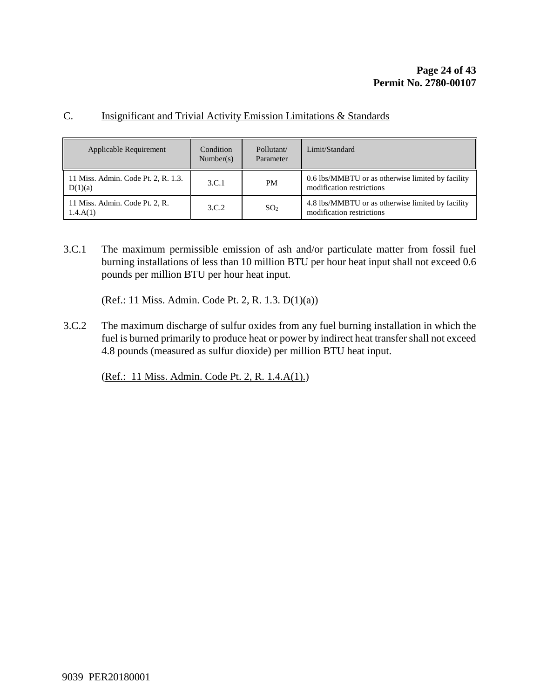| J. |  | Insignificant and Trivial Activity Emission Limitations & Standards |  |
|----|--|---------------------------------------------------------------------|--|

| Applicable Requirement                         | Condition<br>Number(s) | Pollutant/<br>Parameter | Limit/Standard                                                                 |
|------------------------------------------------|------------------------|-------------------------|--------------------------------------------------------------------------------|
| 11 Miss. Admin. Code Pt. 2, R. 1.3.<br>D(1)(a) | 3.C.1                  | <b>PM</b>               | 0.6 lbs/MMBTU or as otherwise limited by facility<br>modification restrictions |
| 11 Miss. Admin. Code Pt. 2, R.<br>1.4.A(1)     | 3.C.2                  | SO <sub>2</sub>         | 4.8 lbs/MMBTU or as otherwise limited by facility<br>modification restrictions |

3.C.1 The maximum permissible emission of ash and/or particulate matter from fossil fuel burning installations of less than 10 million BTU per hour heat input shall not exceed 0.6 pounds per million BTU per hour heat input.

(Ref.: 11 Miss. Admin. Code Pt. 2, R. 1.3. D(1)(a))

3.C.2 The maximum discharge of sulfur oxides from any fuel burning installation in which the fuel is burned primarily to produce heat or power by indirect heat transfer shall not exceed 4.8 pounds (measured as sulfur dioxide) per million BTU heat input.

(Ref.: 11 Miss. Admin. Code Pt. 2, R. 1.4.A(1).)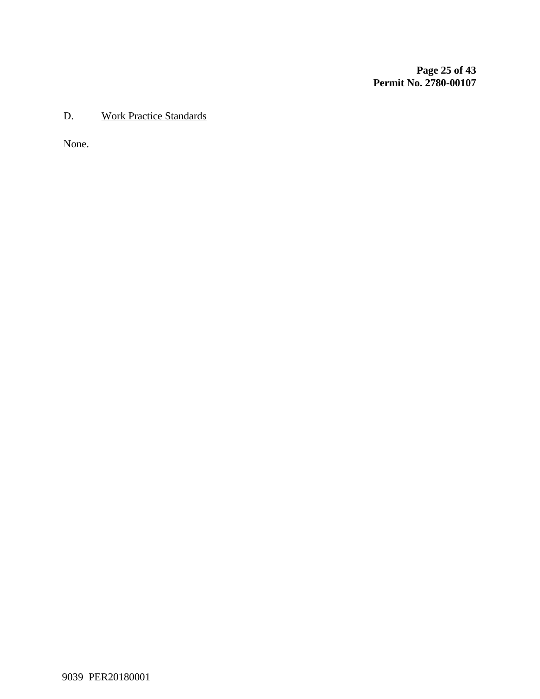**Page 25 of 43 Permit No. 2780-00107**

### D. Work Practice Standards

None.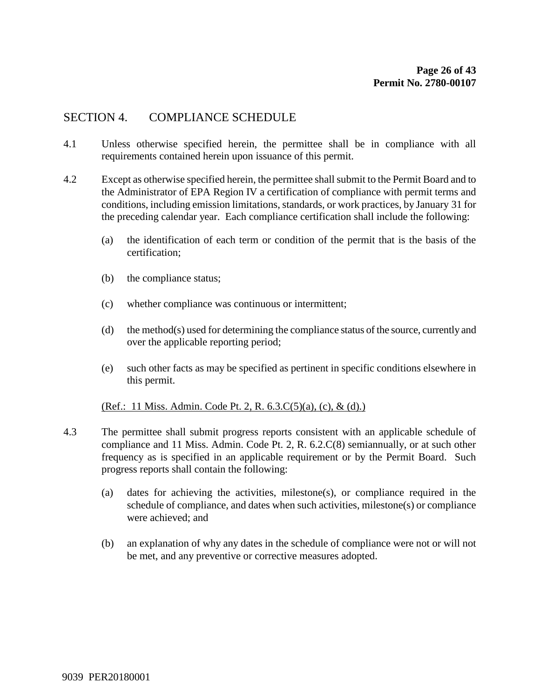### SECTION 4. COMPLIANCE SCHEDULE

- 4.1 Unless otherwise specified herein, the permittee shall be in compliance with all requirements contained herein upon issuance of this permit.
- 4.2 Except as otherwise specified herein, the permittee shall submit to the Permit Board and to the Administrator of EPA Region IV a certification of compliance with permit terms and conditions, including emission limitations, standards, or work practices, by January 31 for the preceding calendar year. Each compliance certification shall include the following:
	- (a) the identification of each term or condition of the permit that is the basis of the certification;
	- (b) the compliance status;
	- (c) whether compliance was continuous or intermittent;
	- (d) the method(s) used for determining the compliance status of the source, currently and over the applicable reporting period;
	- (e) such other facts as may be specified as pertinent in specific conditions elsewhere in this permit.

(Ref.: 11 Miss. Admin. Code Pt. 2, R. 6.3.C(5)(a), (c), & (d).)

- 4.3 The permittee shall submit progress reports consistent with an applicable schedule of compliance and 11 Miss. Admin. Code Pt. 2, R. 6.2.C(8) semiannually, or at such other frequency as is specified in an applicable requirement or by the Permit Board. Such progress reports shall contain the following:
	- (a) dates for achieving the activities, milestone(s), or compliance required in the schedule of compliance, and dates when such activities, milestone(s) or compliance were achieved; and
	- (b) an explanation of why any dates in the schedule of compliance were not or will not be met, and any preventive or corrective measures adopted.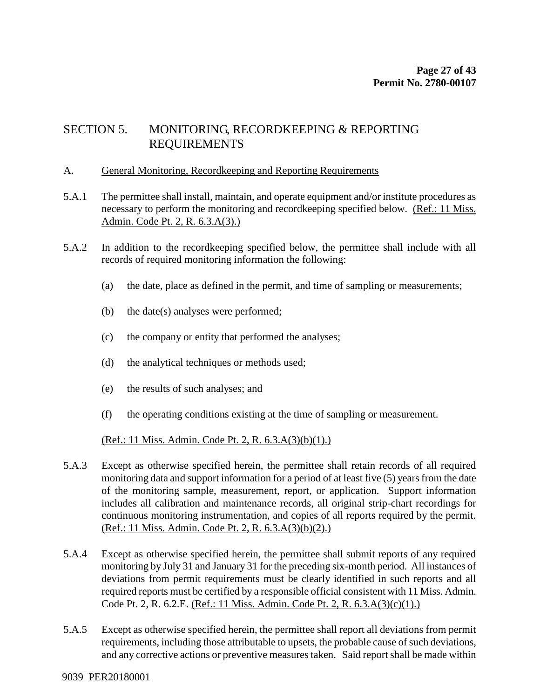## SECTION 5. MONITORING, RECORDKEEPING & REPORTING REQUIREMENTS

### A. General Monitoring, Recordkeeping and Reporting Requirements

- 5.A.1 The permittee shall install, maintain, and operate equipment and/or institute procedures as necessary to perform the monitoring and recordkeeping specified below. (Ref.: 11 Miss. Admin. Code Pt. 2, R. 6.3.A(3).)
- 5.A.2 In addition to the recordkeeping specified below, the permittee shall include with all records of required monitoring information the following:
	- (a) the date, place as defined in the permit, and time of sampling or measurements;
	- (b) the date(s) analyses were performed;
	- (c) the company or entity that performed the analyses;
	- (d) the analytical techniques or methods used;
	- (e) the results of such analyses; and
	- (f) the operating conditions existing at the time of sampling or measurement.

 $(Ref.: 11 \text{ Miss. } Admin. Code Pt. 2, R. 6.3.A(3)(b)(1).)$ 

- 5.A.3 Except as otherwise specified herein, the permittee shall retain records of all required monitoring data and support information for a period of at least five (5) years from the date of the monitoring sample, measurement, report, or application. Support information includes all calibration and maintenance records, all original strip-chart recordings for continuous monitoring instrumentation, and copies of all reports required by the permit. (Ref.: 11 Miss. Admin. Code Pt. 2, R. 6.3.A(3)(b)(2).)
- 5.A.4 Except as otherwise specified herein, the permittee shall submit reports of any required monitoring by July 31 and January 31 for the preceding six-month period. All instances of deviations from permit requirements must be clearly identified in such reports and all required reports must be certified by a responsible official consistent with 11 Miss. Admin. Code Pt. 2, R. 6.2.E. (Ref.: 11 Miss. Admin. Code Pt. 2, R. 6.3.A(3)(c)(1).)
- 5.A.5 Except as otherwise specified herein, the permittee shall report all deviations from permit requirements, including those attributable to upsets, the probable cause of such deviations, and any corrective actions or preventive measures taken. Said report shall be made within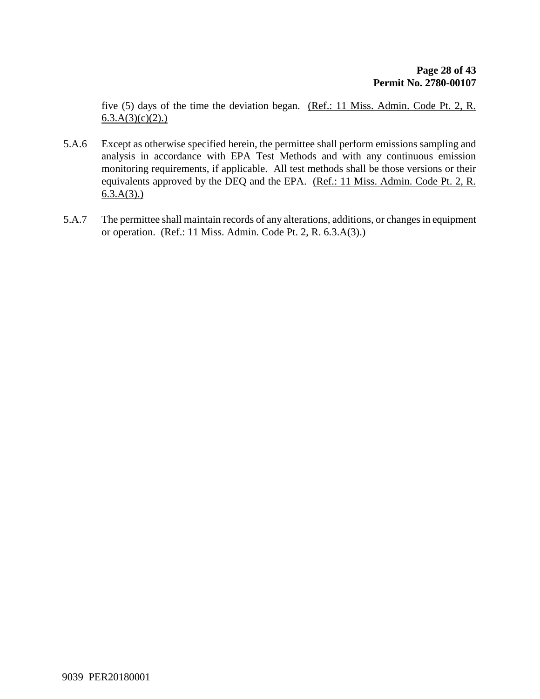five (5) days of the time the deviation began. (Ref.: 11 Miss. Admin. Code Pt. 2, R.  $6.3.A(3)(c)(2)$ .

- 5.A.6 Except as otherwise specified herein, the permittee shall perform emissions sampling and analysis in accordance with EPA Test Methods and with any continuous emission monitoring requirements, if applicable. All test methods shall be those versions or their equivalents approved by the DEQ and the EPA. (Ref.: 11 Miss. Admin. Code Pt. 2, R.  $6.3.A(3)$ .)
- 5.A.7 The permittee shall maintain records of any alterations, additions, or changes in equipment or operation. (Ref.: 11 Miss. Admin. Code Pt. 2, R. 6.3.A(3).)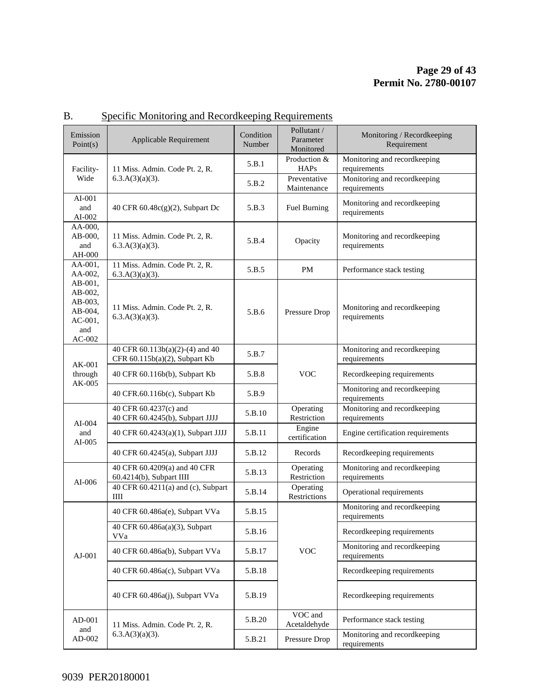| Emission<br>Point(s)                                                      | Applicable Requirement                                           | Condition<br>Number | Pollutant /<br>Parameter<br>Monitored | Monitoring / Recordkeeping<br>Requirement    |
|---------------------------------------------------------------------------|------------------------------------------------------------------|---------------------|---------------------------------------|----------------------------------------------|
| Facility-                                                                 | 11 Miss. Admin. Code Pt. 2, R.                                   | 5.B.1               | Production &<br><b>HAPs</b>           | Monitoring and recordkeeping<br>requirements |
| Wide                                                                      | $6.3.A(3)(a)(3)$ .                                               | 5.B.2               | Preventative<br>Maintenance           | Monitoring and recordkeeping<br>requirements |
| AI-001<br>and<br>$AI-002$                                                 | 40 CFR $60.48c(g)(2)$ , Subpart Dc                               | 5.B.3               | <b>Fuel Burning</b>                   | Monitoring and recordkeeping<br>requirements |
| AA-000,<br>AB-000,<br>and<br>AH-000                                       | 11 Miss. Admin. Code Pt. 2, R.<br>$6.3.A(3)(a)(3)$ .             | 5.B.4               | Opacity                               | Monitoring and recordkeeping<br>requirements |
| AA-001,<br>AA-002,                                                        | 11 Miss. Admin. Code Pt. 2, R.<br>$6.3.A(3)(a)(3)$ .             | 5.B.5               | PM                                    | Performance stack testing                    |
| AB-001,<br>AB-002,<br>AB-003,<br>AB-004,<br>$AC-001$ ,<br>and<br>$AC-002$ | 11 Miss. Admin. Code Pt. 2, R.<br>$6.3.A(3)(a)(3)$ .             | 5.B.6               | Pressure Drop                         | Monitoring and recordkeeping<br>requirements |
| AK-001                                                                    | 40 CFR 60.113b(a)(2)-(4) and 40<br>CFR 60.115b(a)(2), Subpart Kb | 5.B.7               |                                       | Monitoring and recordkeeping<br>requirements |
| through<br>AK-005                                                         | 40 CFR 60.116b(b), Subpart Kb                                    | 5.B.8               | <b>VOC</b>                            | Recordkeeping requirements                   |
|                                                                           | 40 CFR.60.116b(c), Subpart Kb                                    | 5.B.9               |                                       | Monitoring and recordkeeping<br>requirements |
|                                                                           | 40 CFR 60.4237(c) and<br>40 CFR 60.4245(b), Subpart JJJJ         | 5.B.10              | Operating<br>Restriction              | Monitoring and recordkeeping<br>requirements |
| AI-004<br>and<br>$AI-005$                                                 | 40 CFR 60.4243(a)(1), Subpart JJJJ                               | 5.B.11              | Engine<br>certification               | Engine certification requirements            |
|                                                                           | 40 CFR 60.4245(a), Subpart JJJJ                                  | 5.B.12              | Records                               | Recordkeeping requirements                   |
|                                                                           | 40 CFR 60.4209(a) and 40 CFR<br>60.4214(b), Subpart IIII         | 5.B.13              | Operating<br>Restriction              | Monitoring and recordkeeping<br>requirements |
| $AI-006$                                                                  | 40 CFR 60.4211(a) and (c), Subpart<br>III                        | 5.B.14              | Operating<br>Restrictions             | Operational requirements                     |
|                                                                           | 40 CFR 60.486a(e), Subpart VVa                                   | 5.B.15              |                                       | Monitoring and recordkeeping<br>requirements |
| $AJ-001$                                                                  | 40 CFR 60.486a(a)(3), Subpart<br>VVa                             | 5.B.16              |                                       | Recordkeeping requirements                   |
|                                                                           | 40 CFR 60.486a(b), Subpart VVa                                   | 5.B.17              | VOC                                   | Monitoring and recordkeeping<br>requirements |
|                                                                           | 40 CFR 60.486a(c), Subpart VVa                                   | 5.B.18              |                                       | Recordkeeping requirements                   |
|                                                                           | 40 CFR 60.486a(j), Subpart VVa                                   | 5.B.19              |                                       | Recordkeeping requirements                   |
| AD-001                                                                    | 11 Miss. Admin. Code Pt. 2, R.                                   | 5.B.20              | VOC and<br>Acetaldehyde               | Performance stack testing                    |
| and<br>AD-002                                                             | $6.3.A(3)(a)(3)$ .                                               | 5.B.21              | Pressure Drop                         | Monitoring and recordkeeping<br>requirements |

## B. Specific Monitoring and Recordkeeping Requirements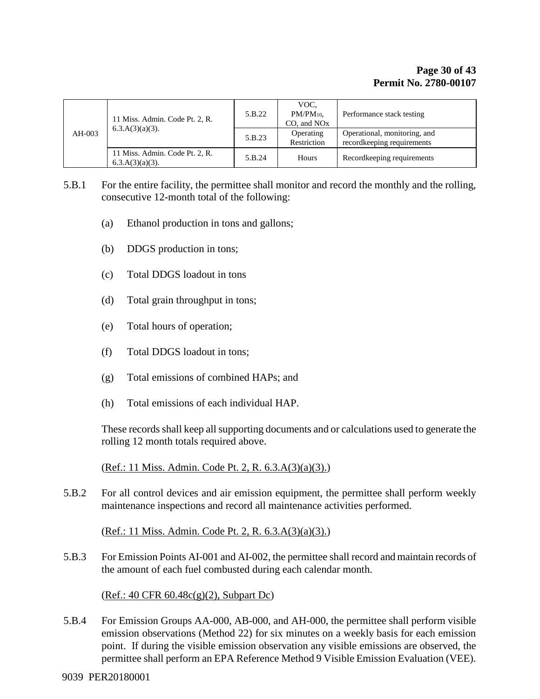| $AH-003$ | 11 Miss. Admin. Code Pt. 2, R.<br>$6.3.A(3)(a)(3)$ . | 5.B.22 | VOC.<br>$PM/PM_{10}$<br>CO, and NO <sub>x</sub> | Performance stack testing                                  |
|----------|------------------------------------------------------|--------|-------------------------------------------------|------------------------------------------------------------|
|          |                                                      | 5.B.23 | Operating<br>Restriction                        | Operational, monitoring, and<br>recordkeeping requirements |
|          | 11 Miss. Admin. Code Pt. 2, R.<br>$6.3.A(3)(a)(3)$ . | 5.B.24 | Hours                                           | Record keeping requirements                                |

5.B.1 For the entire facility, the permittee shall monitor and record the monthly and the rolling, consecutive 12-month total of the following:

- (a) Ethanol production in tons and gallons;
- (b) DDGS production in tons;
- (c) Total DDGS loadout in tons
- (d) Total grain throughput in tons;
- (e) Total hours of operation;
- (f) Total DDGS loadout in tons;
- (g) Total emissions of combined HAPs; and
- (h) Total emissions of each individual HAP.

These records shall keep all supporting documents and or calculations used to generate the rolling 12 month totals required above.

(Ref.: 11 Miss. Admin. Code Pt. 2, R. 6.3.A(3)(a)(3).)

5.B.2 For all control devices and air emission equipment, the permittee shall perform weekly maintenance inspections and record all maintenance activities performed.

(Ref.: 11 Miss. Admin. Code Pt. 2, R. 6.3.A(3)(a)(3).)

5.B.3 For Emission Points AI-001 and AI-002, the permittee shall record and maintain records of the amount of each fuel combusted during each calendar month.

(Ref.: 40 CFR 60.48c(g)(2), Subpart Dc)

5.B.4 For Emission Groups AA-000, AB-000, and AH-000, the permittee shall perform visible emission observations (Method 22) for six minutes on a weekly basis for each emission point. If during the visible emission observation any visible emissions are observed, the permittee shall perform an EPA Reference Method 9 Visible Emission Evaluation (VEE).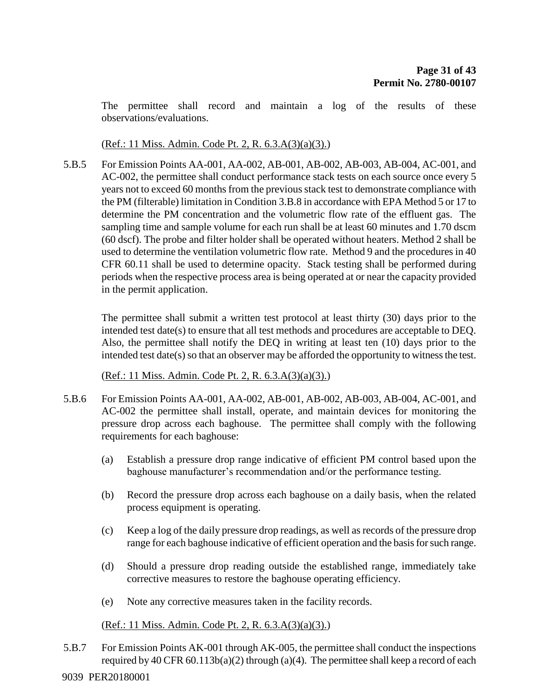The permittee shall record and maintain a log of the results of these observations/evaluations.

(Ref.: 11 Miss. Admin. Code Pt. 2, R. 6.3.A(3)(a)(3).)

5.B.5 For Emission Points AA-001, AA-002, AB-001, AB-002, AB-003, AB-004, AC-001, and AC-002, the permittee shall conduct performance stack tests on each source once every 5 years not to exceed 60 months from the previous stack test to demonstrate compliance with the PM (filterable) limitation in Condition 3.B.8 in accordance with EPA Method 5 or 17 to determine the PM concentration and the volumetric flow rate of the effluent gas. The sampling time and sample volume for each run shall be at least 60 minutes and 1.70 dscm (60 dscf). The probe and filter holder shall be operated without heaters. Method 2 shall be used to determine the ventilation volumetric flow rate. Method 9 and the procedures in 40 CFR 60.11 shall be used to determine opacity. Stack testing shall be performed during periods when the respective process area is being operated at or near the capacity provided in the permit application.

The permittee shall submit a written test protocol at least thirty (30) days prior to the intended test date(s) to ensure that all test methods and procedures are acceptable to DEQ. Also, the permittee shall notify the DEQ in writing at least ten (10) days prior to the intended test date(s) so that an observer may be afforded the opportunity to witness the test.

(Ref.: 11 Miss. Admin. Code Pt. 2, R. 6.3.A(3)(a)(3).)

- 5.B.6 For Emission Points AA-001, AA-002, AB-001, AB-002, AB-003, AB-004, AC-001, and AC-002 the permittee shall install, operate, and maintain devices for monitoring the pressure drop across each baghouse. The permittee shall comply with the following requirements for each baghouse:
	- (a) Establish a pressure drop range indicative of efficient PM control based upon the baghouse manufacturer's recommendation and/or the performance testing.
	- (b) Record the pressure drop across each baghouse on a daily basis, when the related process equipment is operating.
	- (c) Keep a log of the daily pressure drop readings, as well as records of the pressure drop range for each baghouse indicative of efficient operation and the basis for such range.
	- (d) Should a pressure drop reading outside the established range, immediately take corrective measures to restore the baghouse operating efficiency.
	- (e) Note any corrective measures taken in the facility records.

(Ref.: 11 Miss. Admin. Code Pt. 2, R. 6.3.A(3)(a)(3).)

5.B.7 For Emission Points AK-001 through AK-005, the permittee shall conduct the inspections required by 40 CFR 60.113b(a)(2) through (a)(4). The permittee shall keep a record of each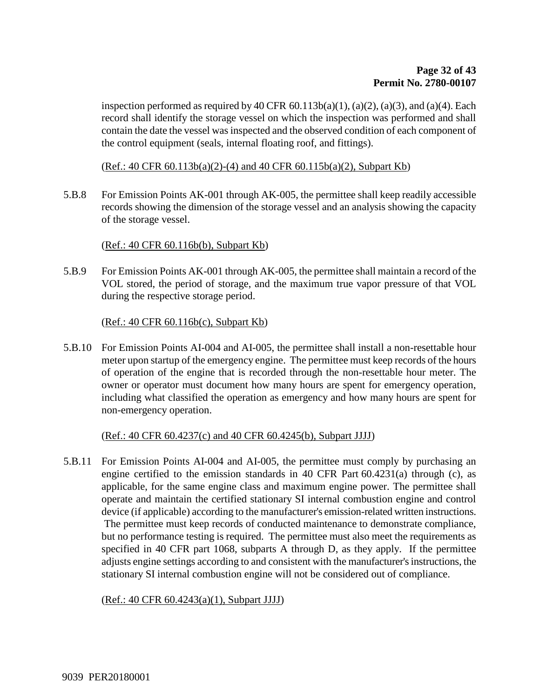inspection performed as required by  $40 \text{ CFR } 60.113b(a)(1)$ , (a)(2), (a)(3), and (a)(4). Each record shall identify the storage vessel on which the inspection was performed and shall contain the date the vessel was inspected and the observed condition of each component of the control equipment (seals, internal floating roof, and fittings).

(Ref.: 40 CFR 60.113b(a)(2)-(4) and 40 CFR 60.115b(a)(2), Subpart Kb)

5.B.8 For Emission Points AK-001 through AK-005, the permittee shall keep readily accessible records showing the dimension of the storage vessel and an analysis showing the capacity of the storage vessel.

#### (Ref.: 40 CFR 60.116b(b), Subpart Kb)

5.B.9 For Emission Points AK-001 through AK-005, the permittee shall maintain a record of the VOL stored, the period of storage, and the maximum true vapor pressure of that VOL during the respective storage period.

#### (Ref.: 40 CFR 60.116b(c), Subpart Kb)

5.B.10 For Emission Points AI-004 and AI-005, the permittee shall install a non-resettable hour meter upon startup of the emergency engine. The permittee must keep records of the hours of operation of the engine that is recorded through the non-resettable hour meter. The owner or operator must document how many hours are spent for emergency operation, including what classified the operation as emergency and how many hours are spent for non-emergency operation.

#### (Ref.: 40 CFR 60.4237(c) and 40 CFR 60.4245(b), Subpart JJJJ)

5.B.11 For Emission Points AI-004 and AI-005, the permittee must comply by purchasing an engine certified to the emission standards in 40 CFR Part 60.4231(a) through (c), as applicable, for the same engine class and maximum engine power. The permittee shall operate and maintain the certified stationary SI internal combustion engine and control device (if applicable) according to the manufacturer's emission-related written instructions. The permittee must keep records of conducted maintenance to demonstrate compliance, but no performance testing is required. The permittee must also meet the requirements as specified in 40 CFR part 1068, subparts A through D, as they apply. If the permittee adjusts engine settings according to and consistent with the manufacturer's instructions, the stationary SI internal combustion engine will not be considered out of compliance.

(Ref.: 40 CFR 60.4243(a)(1), Subpart JJJJ)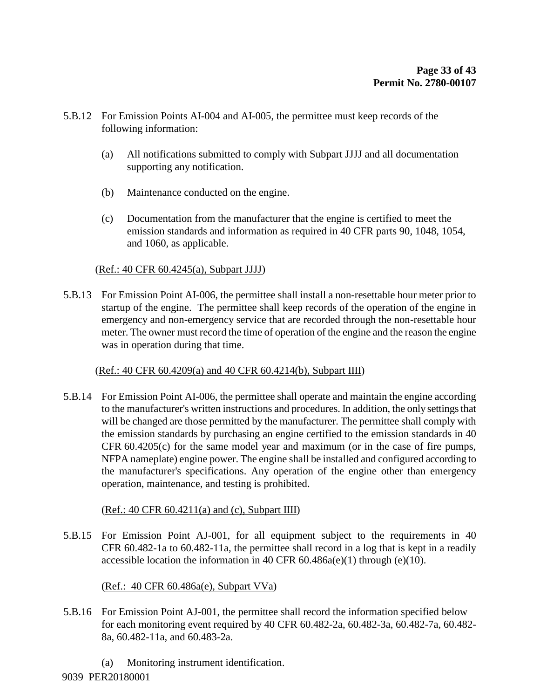- 5.B.12 For Emission Points AI-004 and AI-005, the permittee must keep records of the following information:
	- (a) All notifications submitted to comply with Subpart JJJJ and all documentation supporting any notification.
	- (b) Maintenance conducted on the engine.
	- (c) Documentation from the manufacturer that the engine is certified to meet the emission standards and information as required in 40 CFR parts 90, 1048, 1054, and 1060, as applicable.

### (Ref.: 40 CFR 60.4245(a), Subpart JJJJ)

5.B.13 For Emission Point AI-006, the permittee shall install a non-resettable hour meter prior to startup of the engine. The permittee shall keep records of the operation of the engine in emergency and non-emergency service that are recorded through the non-resettable hour meter. The owner must record the time of operation of the engine and the reason the engine was in operation during that time.

#### (Ref.: 40 CFR 60.4209(a) and 40 CFR 60.4214(b), Subpart IIII)

5.B.14 For Emission Point AI-006, the permittee shall operate and maintain the engine according to the manufacturer's written instructions and procedures. In addition, the only settings that will be changed are those permitted by the manufacturer. The permittee shall comply with the emission standards by purchasing an engine certified to the emission standards in 40 CFR 60.4205(c) for the same model year and maximum (or in the case of fire pumps, NFPA nameplate) engine power. The engine shall be installed and configured according to the manufacturer's specifications. Any operation of the engine other than emergency operation, maintenance, and testing is prohibited.

### (Ref.: 40 CFR 60.4211(a) and (c), Subpart IIII)

5.B.15 For Emission Point AJ-001, for all equipment subject to the requirements in 40 CFR 60.482-1a to 60.482-11a, the permittee shall record in a log that is kept in a readily accessible location the information in 40 CFR  $60.486a(e)(1)$  through (e)(10).

### (Ref.: 40 CFR 60.486a(e), Subpart VVa)

- 5.B.16 For Emission Point AJ-001, the permittee shall record the information specified below for each monitoring event required by 40 CFR 60.482-2a, 60.482-3a, 60.482-7a, 60.482- 8a, 60.482-11a, and 60.483-2a.
	- (a) Monitoring instrument identification.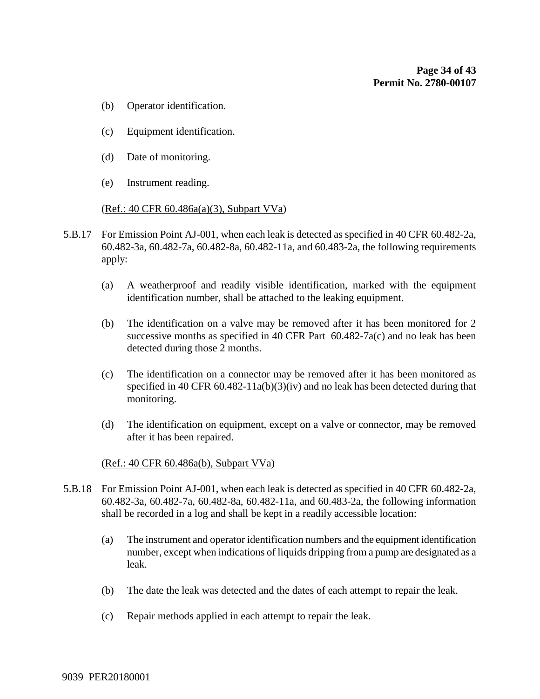- (b) Operator identification.
- (c) Equipment identification.
- (d) Date of monitoring.
- (e) Instrument reading.

#### (Ref.: 40 CFR 60.486a(a)(3), Subpart VVa)

- 5.B.17 For Emission Point AJ-001, when each leak is detected as specified in 40 CFR 60.482-2a, 60.482-3a, 60.482-7a, 60.482-8a, 60.482-11a, and 60.483-2a, the following requirements apply:
	- (a) A weatherproof and readily visible identification, marked with the equipment identification number, shall be attached to the leaking equipment.
	- (b) The identification on a valve may be removed after it has been monitored for 2 successive months as specified in 40 CFR Part 60.482-7a(c) and no leak has been detected during those 2 months.
	- (c) The identification on a connector may be removed after it has been monitored as specified in 40 CFR 60.482-11a(b)(3)(iv) and no leak has been detected during that monitoring.
	- (d) The identification on equipment, except on a valve or connector, may be removed after it has been repaired.

#### (Ref.: 40 CFR 60.486a(b), Subpart VVa)

- 5.B.18 For Emission Point AJ-001, when each leak is detected as specified in 40 CFR 60.482-2a, 60.482-3a, 60.482-7a, 60.482-8a, 60.482-11a, and 60.483-2a, the following information shall be recorded in a log and shall be kept in a readily accessible location:
	- (a) The instrument and operator identification numbers and the equipment identification number, except when indications of liquids dripping from a pump are designated as a leak.
	- (b) The date the leak was detected and the dates of each attempt to repair the leak.
	- (c) Repair methods applied in each attempt to repair the leak.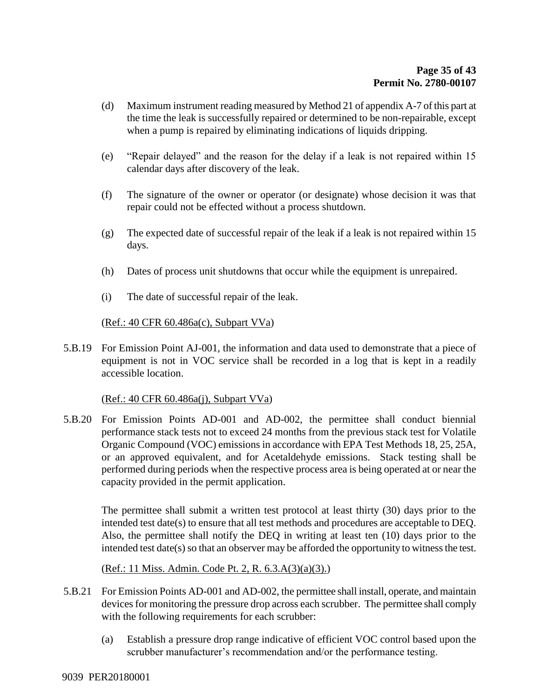- (d) Maximum instrument reading measured by Method 21 of appendix A-7 of this part at the time the leak is successfully repaired or determined to be non-repairable, except when a pump is repaired by eliminating indications of liquids dripping.
- (e) "Repair delayed" and the reason for the delay if a leak is not repaired within 15 calendar days after discovery of the leak.
- (f) The signature of the owner or operator (or designate) whose decision it was that repair could not be effected without a process shutdown.
- (g) The expected date of successful repair of the leak if a leak is not repaired within 15 days.
- (h) Dates of process unit shutdowns that occur while the equipment is unrepaired.
- (i) The date of successful repair of the leak.

(Ref.: 40 CFR 60.486a(c), Subpart VVa)

5.B.19 For Emission Point AJ-001, the information and data used to demonstrate that a piece of equipment is not in VOC service shall be recorded in a log that is kept in a readily accessible location.

### (Ref.: 40 CFR 60.486a(j), Subpart VVa)

5.B.20 For Emission Points AD-001 and AD-002, the permittee shall conduct biennial performance stack tests not to exceed 24 months from the previous stack test for Volatile Organic Compound (VOC) emissions in accordance with EPA Test Methods 18, 25, 25A, or an approved equivalent, and for Acetaldehyde emissions. Stack testing shall be performed during periods when the respective process area is being operated at or near the capacity provided in the permit application.

The permittee shall submit a written test protocol at least thirty (30) days prior to the intended test date(s) to ensure that all test methods and procedures are acceptable to DEQ. Also, the permittee shall notify the DEQ in writing at least ten (10) days prior to the intended test date(s) so that an observer may be afforded the opportunity to witness the test.

(Ref.: 11 Miss. Admin. Code Pt. 2, R. 6.3.A(3)(a)(3).)

- 5.B.21 For Emission Points AD-001 and AD-002, the permittee shall install, operate, and maintain devices for monitoring the pressure drop across each scrubber. The permittee shall comply with the following requirements for each scrubber:
	- (a) Establish a pressure drop range indicative of efficient VOC control based upon the scrubber manufacturer's recommendation and/or the performance testing.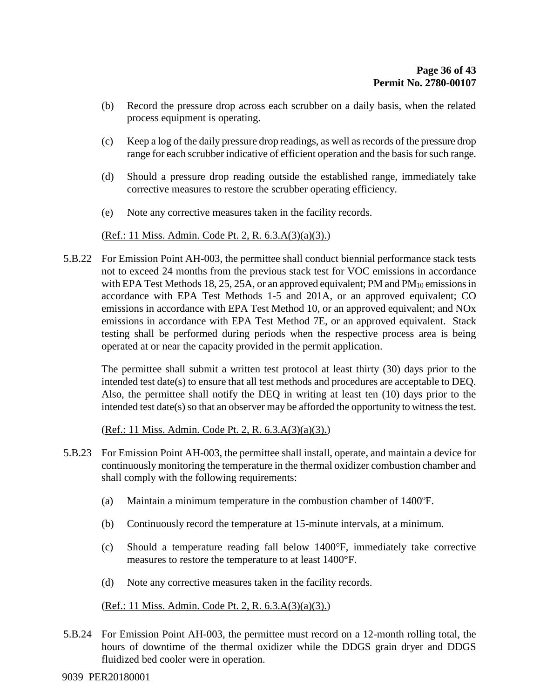- (b) Record the pressure drop across each scrubber on a daily basis, when the related process equipment is operating.
- (c) Keep a log of the daily pressure drop readings, as well as records of the pressure drop range for each scrubber indicative of efficient operation and the basis for such range.
- (d) Should a pressure drop reading outside the established range, immediately take corrective measures to restore the scrubber operating efficiency.
- (e) Note any corrective measures taken in the facility records.

### (Ref.: 11 Miss. Admin. Code Pt. 2, R. 6.3.A(3)(a)(3).)

5.B.22 For Emission Point AH-003, the permittee shall conduct biennial performance stack tests not to exceed 24 months from the previous stack test for VOC emissions in accordance with EPA Test Methods 18, 25, 25A, or an approved equivalent; PM and  $PM_{10}$  emissions in accordance with EPA Test Methods 1-5 and 201A, or an approved equivalent; CO emissions in accordance with EPA Test Method 10, or an approved equivalent; and NOx emissions in accordance with EPA Test Method 7E, or an approved equivalent. Stack testing shall be performed during periods when the respective process area is being operated at or near the capacity provided in the permit application.

The permittee shall submit a written test protocol at least thirty (30) days prior to the intended test date(s) to ensure that all test methods and procedures are acceptable to DEQ. Also, the permittee shall notify the DEQ in writing at least ten (10) days prior to the intended test date(s) so that an observer may be afforded the opportunity to witness the test.

(Ref.: 11 Miss. Admin. Code Pt. 2, R. 6.3.A(3)(a)(3).)

- 5.B.23 For Emission Point AH-003, the permittee shall install, operate, and maintain a device for continuously monitoring the temperature in the thermal oxidizer combustion chamber and shall comply with the following requirements:
	- (a) Maintain a minimum temperature in the combustion chamber of  $1400^\circ F$ .
	- (b) Continuously record the temperature at 15-minute intervals, at a minimum.
	- (c) Should a temperature reading fall below 1400°F, immediately take corrective measures to restore the temperature to at least 1400°F.
	- (d) Note any corrective measures taken in the facility records.

(Ref.: 11 Miss. Admin. Code Pt. 2, R. 6.3.A(3)(a)(3).)

5.B.24 For Emission Point AH-003, the permittee must record on a 12-month rolling total, the hours of downtime of the thermal oxidizer while the DDGS grain dryer and DDGS fluidized bed cooler were in operation.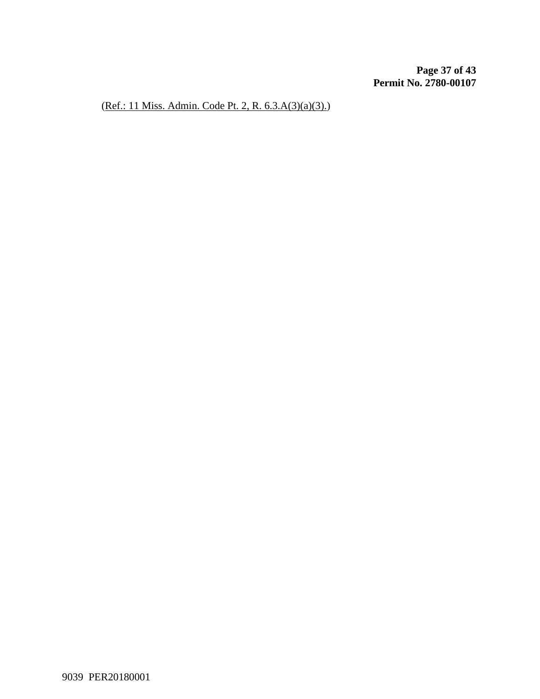(Ref.: 11 Miss. Admin. Code Pt. 2, R. 6.3.A(3)(a)(3).)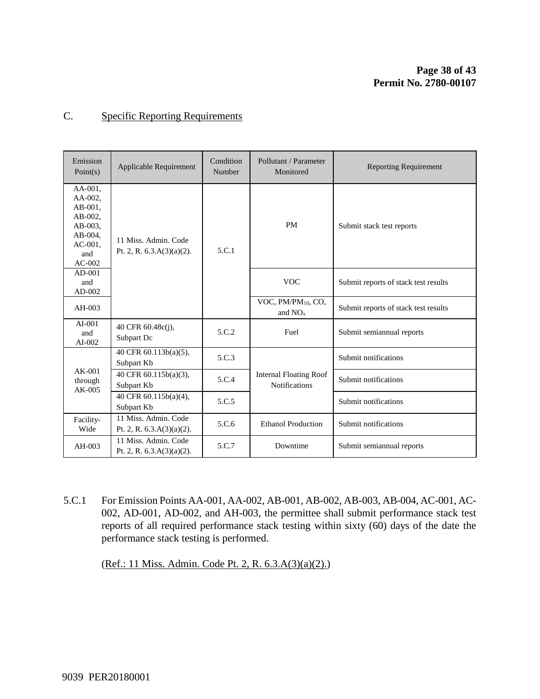### C. Specific Reporting Requirements

| Emission<br>Point(s)                                                                            | Applicable Requirement                               | Condition<br>Number | Pollutant / Parameter<br>Monitored             | <b>Reporting Requirement</b>         |
|-------------------------------------------------------------------------------------------------|------------------------------------------------------|---------------------|------------------------------------------------|--------------------------------------|
| AA-001.<br>AA-002,<br>AB-001.<br>AB-002,<br>AB-003.<br>AB-004,<br>$AC-001$ ,<br>and<br>$AC-002$ | 11 Miss. Admin. Code<br>Pt. 2, R. $6.3.A(3)(a)(2)$ . | 5.C.1               | <b>PM</b>                                      | Submit stack test reports            |
| $AD-001$<br>and<br>AD-002                                                                       |                                                      |                     | <b>VOC</b>                                     | Submit reports of stack test results |
| $AH-003$                                                                                        |                                                      |                     | VOC, PM/PM10, CO,<br>and $NOx$                 | Submit reports of stack test results |
| $AI-001$<br>and<br>$AI-002$                                                                     | 40 CFR 60.48c(j),<br>Subpart Dc                      | 5.C.2               | Fuel                                           | Submit semiannual reports            |
|                                                                                                 | 40 CFR 60.113b(a)(5),<br>Subpart Kb                  | 5.C.3               |                                                | Submit notifications                 |
| $AK-001$<br>through<br>AK-005                                                                   | 40 CFR 60.115b(a)(3),<br>Subpart Kb                  | 5.C.4               | <b>Internal Floating Roof</b><br>Notifications | Submit notifications                 |
|                                                                                                 | 40 CFR 60.115b(a)(4),<br>Subpart Kb                  | 5.C.5               |                                                | Submit notifications                 |
| Facility-<br>Wide                                                                               | 11 Miss. Admin. Code<br>Pt. 2, R. $6.3.A(3)(a)(2)$ . | 5.C.6               | <b>Ethanol Production</b>                      | Submit notifications                 |
| $AH-003$                                                                                        | 11 Miss. Admin. Code<br>Pt. 2, R. $6.3.A(3)(a)(2)$ . | 5.C.7               | Downtime                                       | Submit semiannual reports            |

5.C.1 For Emission Points AA-001, AA-002, AB-001, AB-002, AB-003, AB-004, AC-001, AC-002, AD-001, AD-002, and AH-003, the permittee shall submit performance stack test reports of all required performance stack testing within sixty (60) days of the date the performance stack testing is performed.

(Ref.: 11 Miss. Admin. Code Pt. 2, R. 6.3.A(3)(a)(2).)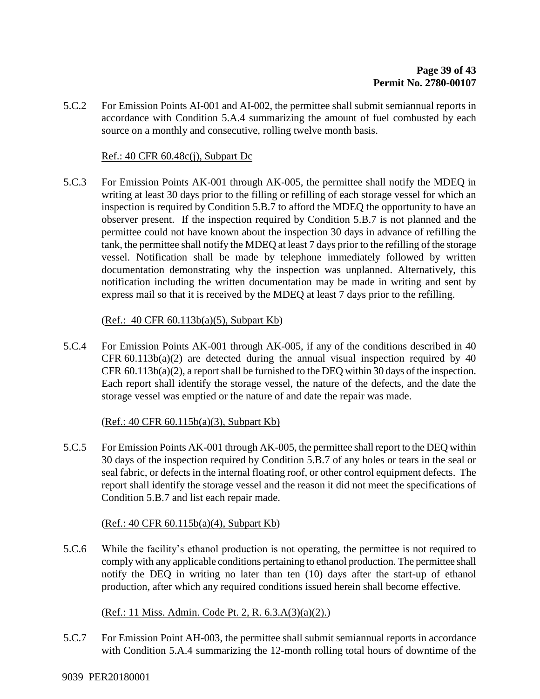5.C.2 For Emission Points AI-001 and AI-002, the permittee shall submit semiannual reports in accordance with Condition 5.A.4 summarizing the amount of fuel combusted by each source on a monthly and consecutive, rolling twelve month basis.

### Ref.: 40 CFR 60.48c(j), Subpart Dc

5.C.3 For Emission Points AK-001 through AK-005, the permittee shall notify the MDEQ in writing at least 30 days prior to the filling or refilling of each storage vessel for which an inspection is required by Condition 5.B.7 to afford the MDEQ the opportunity to have an observer present. If the inspection required by Condition 5.B.7 is not planned and the permittee could not have known about the inspection 30 days in advance of refilling the tank, the permittee shall notify the MDEQ at least 7 days prior to the refilling of the storage vessel. Notification shall be made by telephone immediately followed by written documentation demonstrating why the inspection was unplanned. Alternatively, this notification including the written documentation may be made in writing and sent by express mail so that it is received by the MDEQ at least 7 days prior to the refilling.

### (Ref.: 40 CFR 60.113b(a)(5), Subpart Kb)

5.C.4 For Emission Points AK-001 through AK-005, if any of the conditions described in 40 CFR  $60.113b(a)(2)$  are detected during the annual visual inspection required by 40 CFR 60.113b(a)(2), a report shall be furnished to the DEQ within 30 days of the inspection. Each report shall identify the storage vessel, the nature of the defects, and the date the storage vessel was emptied or the nature of and date the repair was made.

### (Ref.: 40 CFR 60.115b(a)(3), Subpart Kb)

5.C.5 For Emission Points AK-001 through AK-005, the permittee shall report to the DEQ within 30 days of the inspection required by Condition 5.B.7 of any holes or tears in the seal or seal fabric, or defects in the internal floating roof, or other control equipment defects. The report shall identify the storage vessel and the reason it did not meet the specifications of Condition 5.B.7 and list each repair made.

#### (Ref.: 40 CFR 60.115b(a)(4), Subpart Kb)

5.C.6 While the facility's ethanol production is not operating, the permittee is not required to comply with any applicable conditions pertaining to ethanol production. The permittee shall notify the DEQ in writing no later than ten (10) days after the start-up of ethanol production, after which any required conditions issued herein shall become effective.

### (Ref.: 11 Miss. Admin. Code Pt. 2, R. 6.3.A(3)(a)(2).)

5.C.7 For Emission Point AH-003, the permittee shall submit semiannual reports in accordance with Condition 5.A.4 summarizing the 12-month rolling total hours of downtime of the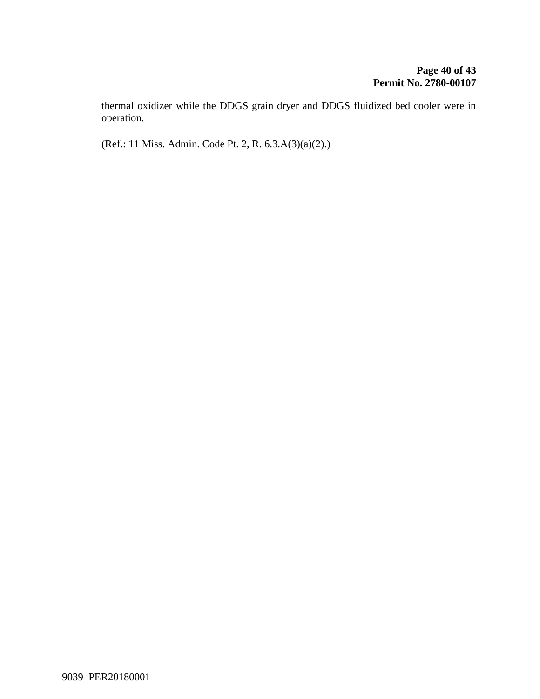thermal oxidizer while the DDGS grain dryer and DDGS fluidized bed cooler were in operation.

(Ref.: 11 Miss. Admin. Code Pt. 2, R. 6.3.A(3)(a)(2).)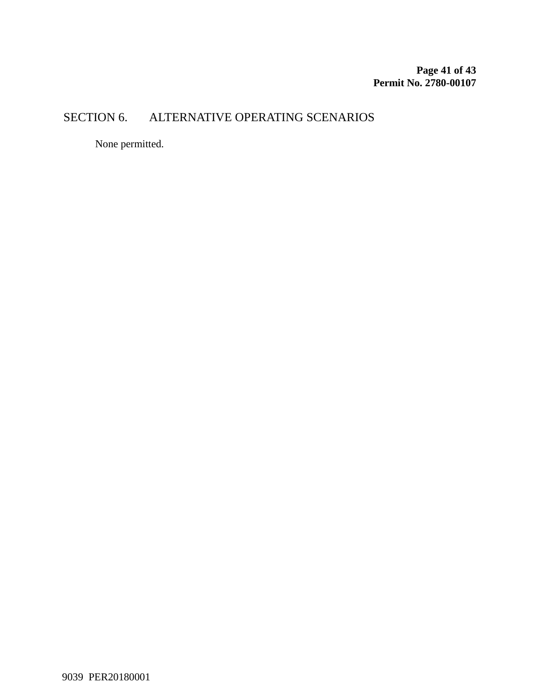## SECTION 6. ALTERNATIVE OPERATING SCENARIOS

None permitted.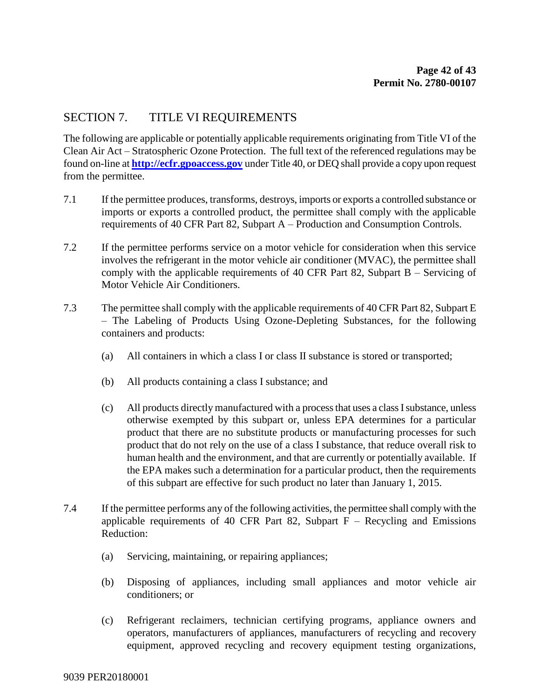## SECTION 7. TITLE VI REQUIREMENTS

The following are applicable or potentially applicable requirements originating from Title VI of the Clean Air Act – Stratospheric Ozone Protection. The full text of the referenced regulations may be found on-line at **[http://ecfr.gpoaccess.gov](http://ecfr.gpoaccess.gov/)** under Title 40, or DEQ shall provide a copy upon request from the permittee.

- 7.1 If the permittee produces, transforms, destroys, imports or exports a controlled substance or imports or exports a controlled product, the permittee shall comply with the applicable requirements of 40 CFR Part 82, Subpart A – Production and Consumption Controls.
- 7.2 If the permittee performs service on a motor vehicle for consideration when this service involves the refrigerant in the motor vehicle air conditioner (MVAC), the permittee shall comply with the applicable requirements of 40 CFR Part 82, Subpart B – Servicing of Motor Vehicle Air Conditioners.
- 7.3 The permittee shall comply with the applicable requirements of 40 CFR Part 82, Subpart E – The Labeling of Products Using Ozone-Depleting Substances, for the following containers and products:
	- (a) All containers in which a class I or class II substance is stored or transported;
	- (b) All products containing a class I substance; and
	- (c) All products directly manufactured with a process that uses a class I substance, unless otherwise exempted by this subpart or, unless EPA determines for a particular product that there are no substitute products or manufacturing processes for such product that do not rely on the use of a class I substance, that reduce overall risk to human health and the environment, and that are currently or potentially available. If the EPA makes such a determination for a particular product, then the requirements of this subpart are effective for such product no later than January 1, 2015.
- 7.4 If the permittee performs any of the following activities, the permittee shall comply with the applicable requirements of 40 CFR Part 82, Subpart  $F -$  Recycling and Emissions Reduction:
	- (a) Servicing, maintaining, or repairing appliances;
	- (b) Disposing of appliances, including small appliances and motor vehicle air conditioners; or
	- (c) Refrigerant reclaimers, technician certifying programs, appliance owners and operators, manufacturers of appliances, manufacturers of recycling and recovery equipment, approved recycling and recovery equipment testing organizations,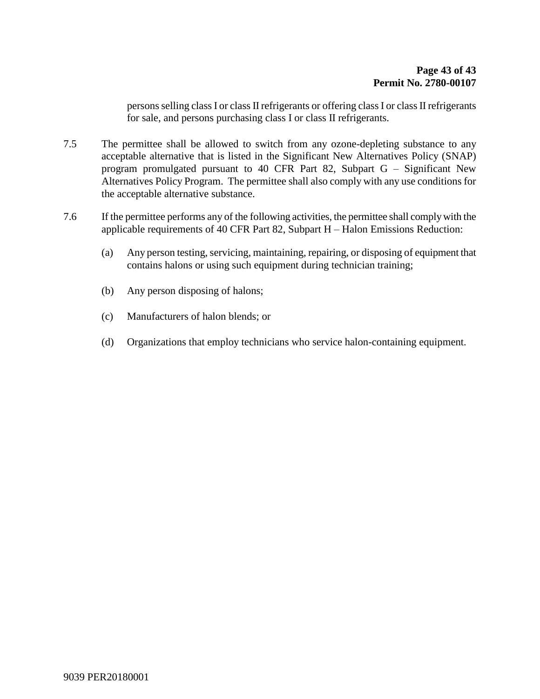persons selling class I or class II refrigerants or offering class I or class II refrigerants for sale, and persons purchasing class I or class II refrigerants.

- 7.5 The permittee shall be allowed to switch from any ozone-depleting substance to any acceptable alternative that is listed in the Significant New Alternatives Policy (SNAP) program promulgated pursuant to 40 CFR Part 82, Subpart G – Significant New Alternatives Policy Program. The permittee shall also comply with any use conditions for the acceptable alternative substance.
- 7.6 If the permittee performs any of the following activities, the permittee shall comply with the applicable requirements of 40 CFR Part 82, Subpart H – Halon Emissions Reduction:
	- (a) Any person testing, servicing, maintaining, repairing, or disposing of equipment that contains halons or using such equipment during technician training;
	- (b) Any person disposing of halons;
	- (c) Manufacturers of halon blends; or
	- (d) Organizations that employ technicians who service halon-containing equipment.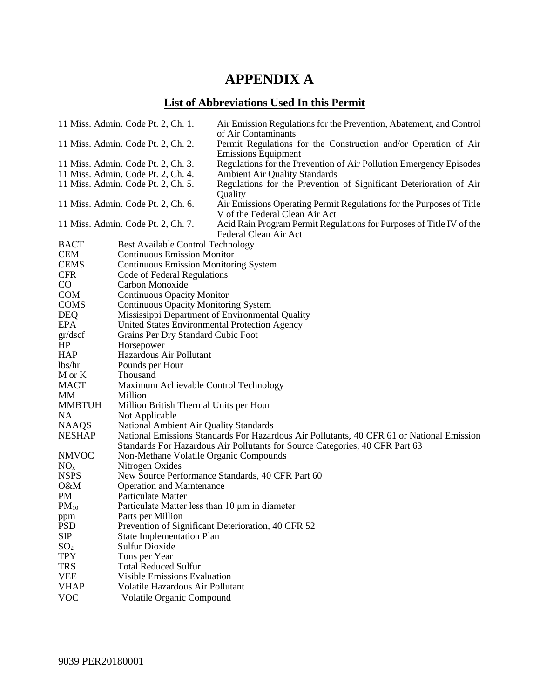## **APPENDIX A**

## **List of Abbreviations Used In this Permit**

|                                    | 11 Miss. Admin. Code Pt. 2, Ch. 1.                                                                                                                                        | Air Emission Regulations for the Prevention, Abatement, and Control<br>of Air Contaminants             |  |
|------------------------------------|---------------------------------------------------------------------------------------------------------------------------------------------------------------------------|--------------------------------------------------------------------------------------------------------|--|
| 11 Miss. Admin. Code Pt. 2, Ch. 2. |                                                                                                                                                                           | Permit Regulations for the Construction and/or Operation of Air<br><b>Emissions Equipment</b>          |  |
|                                    | 11 Miss. Admin. Code Pt. 2, Ch. 3.                                                                                                                                        | Regulations for the Prevention of Air Pollution Emergency Episodes                                     |  |
| 11 Miss. Admin. Code Pt. 2, Ch. 4. |                                                                                                                                                                           | <b>Ambient Air Quality Standards</b>                                                                   |  |
| 11 Miss. Admin. Code Pt. 2, Ch. 5. |                                                                                                                                                                           | Regulations for the Prevention of Significant Deterioration of Air<br>Quality                          |  |
| 11 Miss. Admin. Code Pt. 2, Ch. 6. |                                                                                                                                                                           | Air Emissions Operating Permit Regulations for the Purposes of Title<br>V of the Federal Clean Air Act |  |
| 11 Miss. Admin. Code Pt. 2, Ch. 7. |                                                                                                                                                                           | Acid Rain Program Permit Regulations for Purposes of Title IV of the<br>Federal Clean Air Act          |  |
| <b>BACT</b>                        | <b>Best Available Control Technology</b>                                                                                                                                  |                                                                                                        |  |
| <b>CEM</b>                         | <b>Continuous Emission Monitor</b>                                                                                                                                        |                                                                                                        |  |
| <b>CEMS</b>                        | <b>Continuous Emission Monitoring System</b>                                                                                                                              |                                                                                                        |  |
| <b>CFR</b>                         | Code of Federal Regulations                                                                                                                                               |                                                                                                        |  |
| $\rm CO$                           | Carbon Monoxide                                                                                                                                                           |                                                                                                        |  |
| <b>COM</b>                         | <b>Continuous Opacity Monitor</b>                                                                                                                                         |                                                                                                        |  |
| <b>COMS</b>                        | <b>Continuous Opacity Monitoring System</b>                                                                                                                               |                                                                                                        |  |
| <b>DEQ</b>                         |                                                                                                                                                                           | Mississippi Department of Environmental Quality                                                        |  |
| <b>EPA</b>                         | United States Environmental Protection Agency                                                                                                                             |                                                                                                        |  |
| gr/dscf                            | Grains Per Dry Standard Cubic Foot                                                                                                                                        |                                                                                                        |  |
| HP                                 | Horsepower                                                                                                                                                                |                                                                                                        |  |
| <b>HAP</b>                         | Hazardous Air Pollutant                                                                                                                                                   |                                                                                                        |  |
| lbs/hr                             | Pounds per Hour                                                                                                                                                           |                                                                                                        |  |
| M or K                             | Thousand                                                                                                                                                                  |                                                                                                        |  |
| <b>MACT</b>                        | Maximum Achievable Control Technology                                                                                                                                     |                                                                                                        |  |
| <b>MM</b>                          | Million                                                                                                                                                                   |                                                                                                        |  |
| <b>MMBTUH</b>                      | Million British Thermal Units per Hour                                                                                                                                    |                                                                                                        |  |
| NA.                                | Not Applicable                                                                                                                                                            |                                                                                                        |  |
| <b>NAAQS</b>                       | National Ambient Air Quality Standards                                                                                                                                    |                                                                                                        |  |
| <b>NESHAP</b>                      | National Emissions Standards For Hazardous Air Pollutants, 40 CFR 61 or National Emission<br>Standards For Hazardous Air Pollutants for Source Categories, 40 CFR Part 63 |                                                                                                        |  |
| <b>NMVOC</b>                       | Non-Methane Volatile Organic Compounds                                                                                                                                    |                                                                                                        |  |
| NO <sub>x</sub>                    | Nitrogen Oxides                                                                                                                                                           |                                                                                                        |  |
| <b>NSPS</b>                        |                                                                                                                                                                           | New Source Performance Standards, 40 CFR Part 60                                                       |  |
| O&M                                | <b>Operation and Maintenance</b>                                                                                                                                          |                                                                                                        |  |
| <b>PM</b>                          | <b>Particulate Matter</b>                                                                                                                                                 |                                                                                                        |  |
| $PM_{10}$                          | Particulate Matter less than 10 µm in diameter                                                                                                                            |                                                                                                        |  |
| ppm                                | Parts per Million                                                                                                                                                         |                                                                                                        |  |
| <b>PSD</b>                         |                                                                                                                                                                           | Prevention of Significant Deterioration, 40 CFR 52                                                     |  |
| <b>SIP</b>                         | <b>State Implementation Plan</b>                                                                                                                                          |                                                                                                        |  |
| SO <sub>2</sub>                    | <b>Sulfur Dioxide</b>                                                                                                                                                     |                                                                                                        |  |
| <b>TPY</b>                         | Tons per Year                                                                                                                                                             |                                                                                                        |  |
| <b>TRS</b>                         | <b>Total Reduced Sulfur</b>                                                                                                                                               |                                                                                                        |  |
| <b>VEE</b>                         | <b>Visible Emissions Evaluation</b>                                                                                                                                       |                                                                                                        |  |
| <b>VHAP</b>                        | Volatile Hazardous Air Pollutant                                                                                                                                          |                                                                                                        |  |
| <b>VOC</b>                         | Volatile Organic Compound                                                                                                                                                 |                                                                                                        |  |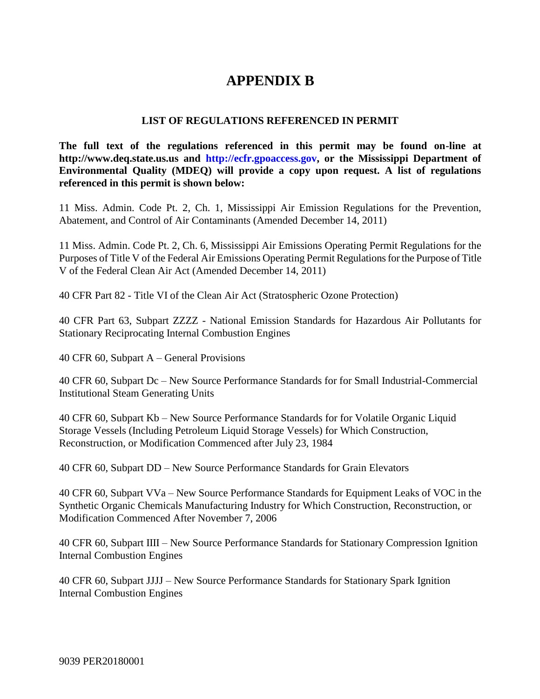## **APPENDIX B**

### **LIST OF REGULATIONS REFERENCED IN PERMIT**

**The full text of the regulations referenced in this permit may be found on-line at http://www.deq.state.us.us and http://ecfr.gpoaccess.gov, or the Mississippi Department of Environmental Quality (MDEQ) will provide a copy upon request. A list of regulations referenced in this permit is shown below:**

11 Miss. Admin. Code Pt. 2, Ch. 1, Mississippi Air Emission Regulations for the Prevention, Abatement, and Control of Air Contaminants (Amended December 14, 2011)

11 Miss. Admin. Code Pt. 2, Ch. 6, Mississippi Air Emissions Operating Permit Regulations for the Purposes of Title V of the Federal Air Emissions Operating Permit Regulations for the Purpose of Title V of the Federal Clean Air Act (Amended December 14, 2011)

40 CFR Part 82 - Title VI of the Clean Air Act (Stratospheric Ozone Protection)

40 CFR Part 63, Subpart ZZZZ - National Emission Standards for Hazardous Air Pollutants for Stationary Reciprocating Internal Combustion Engines

40 CFR 60, Subpart A – General Provisions

40 CFR 60, Subpart Dc – New Source Performance Standards for for Small Industrial-Commercial Institutional Steam Generating Units

40 CFR 60, Subpart Kb – New Source Performance Standards for for Volatile Organic Liquid Storage Vessels (Including Petroleum Liquid Storage Vessels) for Which Construction, Reconstruction, or Modification Commenced after July 23, 1984

40 CFR 60, Subpart DD – New Source Performance Standards for Grain Elevators

40 CFR 60, Subpart VVa – New Source Performance Standards for Equipment Leaks of VOC in the Synthetic Organic Chemicals Manufacturing Industry for Which Construction, Reconstruction, or Modification Commenced After November 7, 2006

40 CFR 60, Subpart IIII – New Source Performance Standards for Stationary Compression Ignition Internal Combustion Engines

40 CFR 60, Subpart JJJJ – New Source Performance Standards for Stationary Spark Ignition Internal Combustion Engines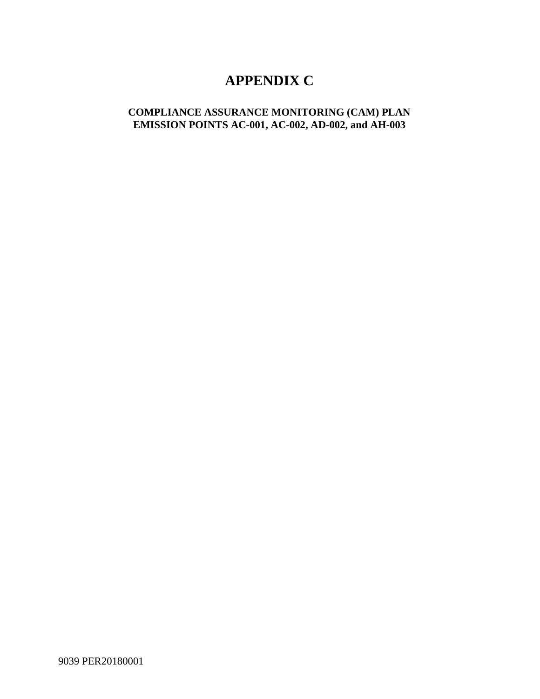## **APPENDIX C**

## **COMPLIANCE ASSURANCE MONITORING (CAM) PLAN EMISSION POINTS AC-001, AC-002, AD-002, and AH-003**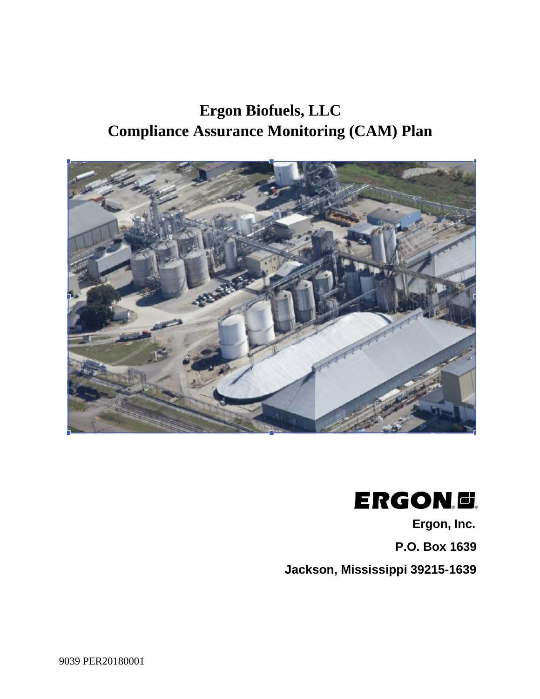## **Ergon Biofuels, LLC Compliance Assurance Monitoring (CAM) Plan**





**Ergon, Inc. P.O. Box 1639 Jackson, Mississippi 39215-1639**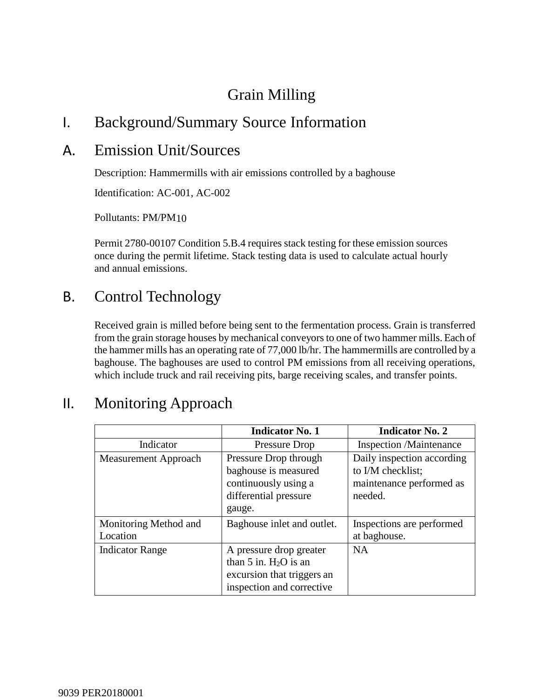## Grain Milling

## I. Background/Summary Source Information

## A. Emission Unit/Sources

Description: Hammermills with air emissions controlled by a baghouse

Identification: AC-001, AC-002

Pollutants: PM/PM10

Permit 2780-00107 Condition 5.B.4 requires stack testing for these emission sources once during the permit lifetime. Stack testing data is used to calculate actual hourly and annual emissions.

## B. Control Technology

Received grain is milled before being sent to the fermentation process. Grain is transferred from the grain storage houses by mechanical conveyors to one of two hammer mills. Each of the hammer mills has an operating rate of 77,000 lb/hr. The hammermills are controlled by a baghouse. The baghouses are used to control PM emissions from all receiving operations, which include truck and rail receiving pits, barge receiving scales, and transfer points.

## II. Monitoring Approach

|                             | <b>Indicator No. 1</b>     | <b>Indicator No. 2</b>         |
|-----------------------------|----------------------------|--------------------------------|
| Indicator                   | <b>Pressure Drop</b>       | <b>Inspection</b> /Maintenance |
| <b>Measurement Approach</b> | Pressure Drop through      | Daily inspection according     |
|                             | baghouse is measured       | to I/M checklist;              |
|                             | continuously using a       | maintenance performed as       |
|                             | differential pressure      | needed.                        |
|                             | gauge.                     |                                |
| Monitoring Method and       | Baghouse inlet and outlet. | Inspections are performed      |
| Location                    |                            | at baghouse.                   |
| <b>Indicator Range</b>      | A pressure drop greater    | <b>NA</b>                      |
|                             | than 5 in. $H_2O$ is an    |                                |
|                             | excursion that triggers an |                                |
|                             | inspection and corrective  |                                |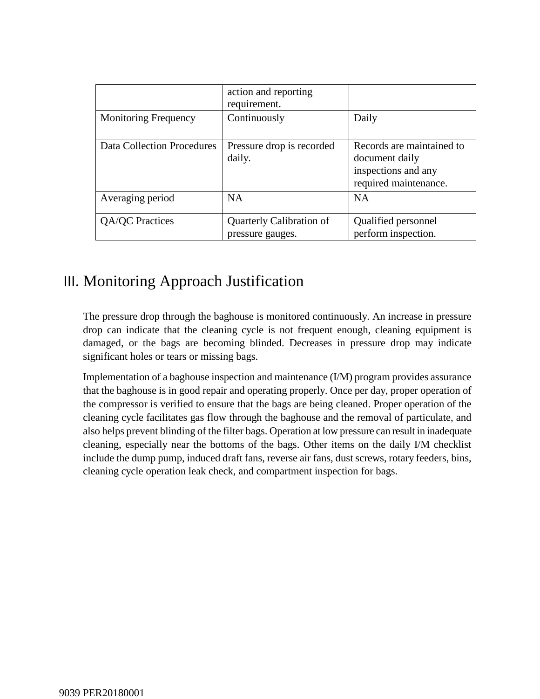|                                   | action and reporting<br>requirement.         |                                                                                             |
|-----------------------------------|----------------------------------------------|---------------------------------------------------------------------------------------------|
| <b>Monitoring Frequency</b>       | Continuously                                 | Daily                                                                                       |
| <b>Data Collection Procedures</b> | Pressure drop is recorded<br>daily.          | Records are maintained to<br>document daily<br>inspections and any<br>required maintenance. |
| Averaging period                  | <b>NA</b>                                    | <b>NA</b>                                                                                   |
| QA/QC Practices                   | Quarterly Calibration of<br>pressure gauges. | <b>Qualified personnel</b><br>perform inspection.                                           |

## III. Monitoring Approach Justification

The pressure drop through the baghouse is monitored continuously. An increase in pressure drop can indicate that the cleaning cycle is not frequent enough, cleaning equipment is damaged, or the bags are becoming blinded. Decreases in pressure drop may indicate significant holes or tears or missing bags.

Implementation of a baghouse inspection and maintenance (I/M) program provides assurance that the baghouse is in good repair and operating properly. Once per day, proper operation of the compressor is verified to ensure that the bags are being cleaned. Proper operation of the cleaning cycle facilitates gas flow through the baghouse and the removal of particulate, and also helps prevent blinding of the filter bags. Operation at low pressure can result in inadequate cleaning, especially near the bottoms of the bags. Other items on the daily I/M checklist include the dump pump, induced draft fans, reverse air fans, dust screws, rotary feeders, bins, cleaning cycle operation leak check, and compartment inspection for bags.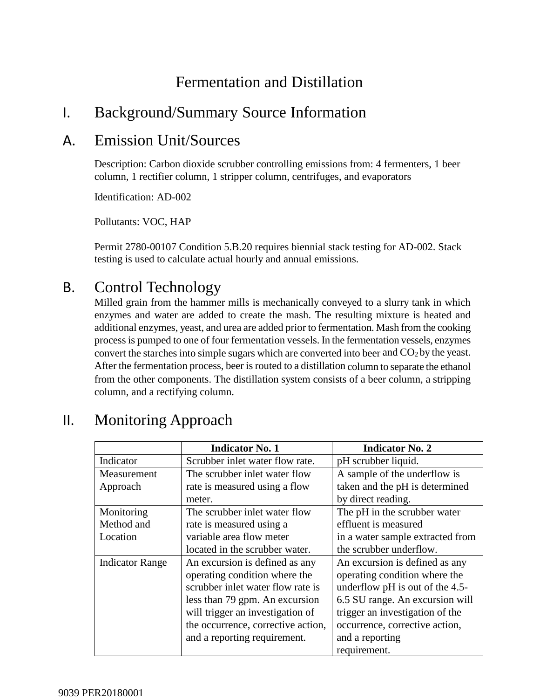## Fermentation and Distillation

## I. Background/Summary Source Information

## A. Emission Unit/Sources

Description: Carbon dioxide scrubber controlling emissions from: 4 fermenters, 1 beer column, 1 rectifier column, 1 stripper column, centrifuges, and evaporators

Identification: AD-002

Pollutants: VOC, HAP

Permit 2780-00107 Condition 5.B.20 requires biennial stack testing for AD-002. Stack testing is used to calculate actual hourly and annual emissions.

## B. Control Technology

Milled grain from the hammer mills is mechanically conveyed to a slurry tank in which enzymes and water are added to create the mash. The resulting mixture is heated and additional enzymes, yeast, and urea are added prior to fermentation. Mash from the cooking process is pumped to one of four fermentation vessels. In the fermentation vessels, enzymes convert the starches into simple sugars which are converted into beer and  $CO<sub>2</sub>$  by the yeast. After the fermentation process, beer is routed to a distillation column to separate the ethanol from the other components. The distillation system consists of a beer column, a stripping column, and a rectifying column.

|                        | <b>Indicator No. 1</b>             | <b>Indicator No. 2</b>           |
|------------------------|------------------------------------|----------------------------------|
| Indicator              | Scrubber inlet water flow rate.    | pH scrubber liquid.              |
| Measurement            | The scrubber inlet water flow      | A sample of the underflow is     |
| Approach               | rate is measured using a flow      | taken and the pH is determined   |
|                        | meter.                             | by direct reading.               |
| Monitoring             | The scrubber inlet water flow      | The pH in the scrubber water     |
| Method and             | rate is measured using a           | effluent is measured             |
| Location               | variable area flow meter           | in a water sample extracted from |
|                        | located in the scrubber water.     | the scrubber underflow.          |
| <b>Indicator Range</b> | An excursion is defined as any     | An excursion is defined as any   |
|                        | operating condition where the      | operating condition where the    |
|                        | scrubber inlet water flow rate is  | underflow pH is out of the 4.5-  |
|                        | less than 79 gpm. An excursion     | 6.5 SU range. An excursion will  |
|                        | will trigger an investigation of   | trigger an investigation of the  |
|                        | the occurrence, corrective action, | occurrence, corrective action,   |
|                        | and a reporting requirement.       | and a reporting                  |
|                        |                                    | requirement.                     |

## II. Monitoring Approach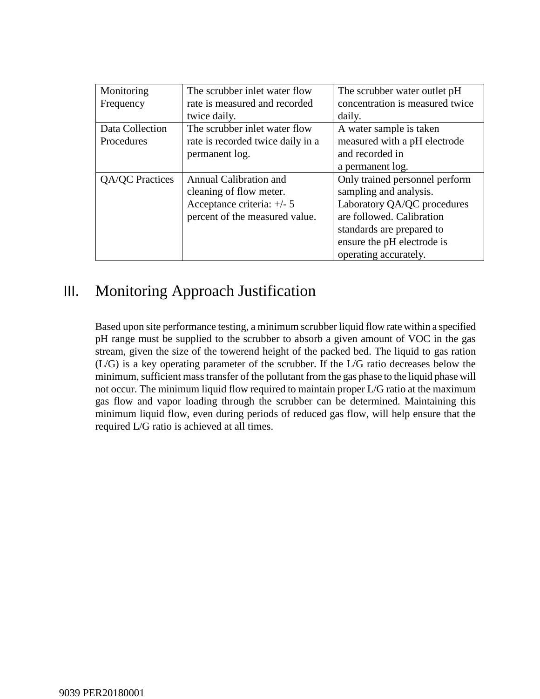| Monitoring      | The scrubber inlet water flow     | The scrubber water outlet pH    |
|-----------------|-----------------------------------|---------------------------------|
| Frequency       | rate is measured and recorded     | concentration is measured twice |
|                 | twice daily.                      | daily.                          |
| Data Collection | The scrubber inlet water flow     | A water sample is taken         |
| Procedures      | rate is recorded twice daily in a | measured with a pH electrode    |
|                 | permanent log.                    | and recorded in                 |
|                 |                                   | a permanent log.                |
| QA/QC Practices | Annual Calibration and            | Only trained personnel perform  |
|                 | cleaning of flow meter.           | sampling and analysis.          |
|                 | Acceptance criteria: $+/- 5$      | Laboratory QA/QC procedures     |
|                 | percent of the measured value.    | are followed. Calibration       |
|                 |                                   | standards are prepared to       |
|                 |                                   | ensure the pH electrode is      |
|                 |                                   | operating accurately.           |

## III. Monitoring Approach Justification

Based upon site performance testing, a minimum scrubber liquid flow rate within a specified pH range must be supplied to the scrubber to absorb a given amount of VOC in the gas stream, given the size of the towerend height of the packed bed. The liquid to gas ration (L/G) is a key operating parameter of the scrubber. If the L/G ratio decreases below the minimum, sufficient mass transfer of the pollutant from the gas phase to the liquid phase will not occur. The minimum liquid flow required to maintain proper L/G ratio at the maximum gas flow and vapor loading through the scrubber can be determined. Maintaining this minimum liquid flow, even during periods of reduced gas flow, will help ensure that the required L/G ratio is achieved at all times.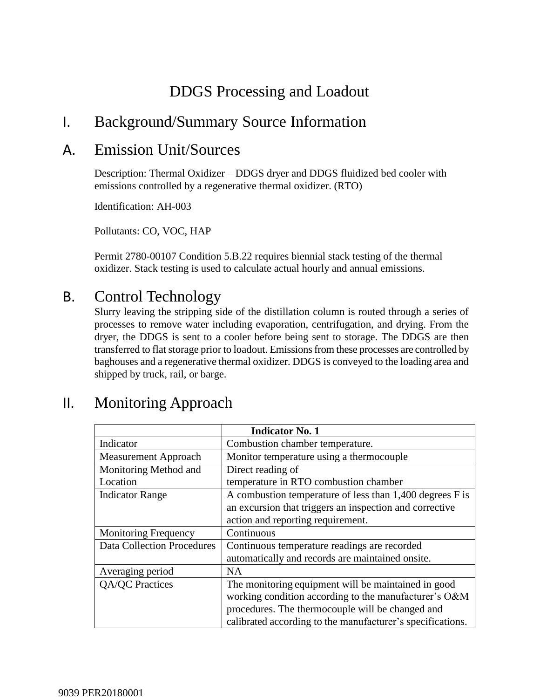## DDGS Processing and Loadout

## I. Background/Summary Source Information

## A. Emission Unit/Sources

Description: Thermal Oxidizer – DDGS dryer and DDGS fluidized bed cooler with emissions controlled by a regenerative thermal oxidizer. (RTO)

Identification: AH-003

Pollutants: CO, VOC, HAP

Permit 2780-00107 Condition 5.B.22 requires biennial stack testing of the thermal oxidizer. Stack testing is used to calculate actual hourly and annual emissions.

## B. Control Technology

Slurry leaving the stripping side of the distillation column is routed through a series of processes to remove water including evaporation, centrifugation, and drying. From the dryer, the DDGS is sent to a cooler before being sent to storage. The DDGS are then transferred to flat storage prior to loadout. Emissions from these processes are controlled by baghouses and a regenerative thermal oxidizer. DDGS is conveyed to the loading area and shipped by truck, rail, or barge.

|                                   | <b>Indicator No. 1</b>                                     |  |
|-----------------------------------|------------------------------------------------------------|--|
| Indicator                         | Combustion chamber temperature.                            |  |
| <b>Measurement Approach</b>       | Monitor temperature using a thermocouple                   |  |
| Monitoring Method and             | Direct reading of                                          |  |
| Location                          | temperature in RTO combustion chamber                      |  |
| <b>Indicator Range</b>            | A combustion temperature of less than 1,400 degrees F is   |  |
|                                   | an excursion that triggers an inspection and corrective    |  |
|                                   | action and reporting requirement.                          |  |
| <b>Monitoring Frequency</b>       | Continuous                                                 |  |
| <b>Data Collection Procedures</b> | Continuous temperature readings are recorded               |  |
|                                   | automatically and records are maintained onsite.           |  |
| Averaging period                  | <b>NA</b>                                                  |  |
| QA/QC Practices                   | The monitoring equipment will be maintained in good        |  |
|                                   | working condition according to the manufacturer's O&M      |  |
|                                   | procedures. The thermocouple will be changed and           |  |
|                                   | calibrated according to the manufacturer's specifications. |  |

## II. Monitoring Approach